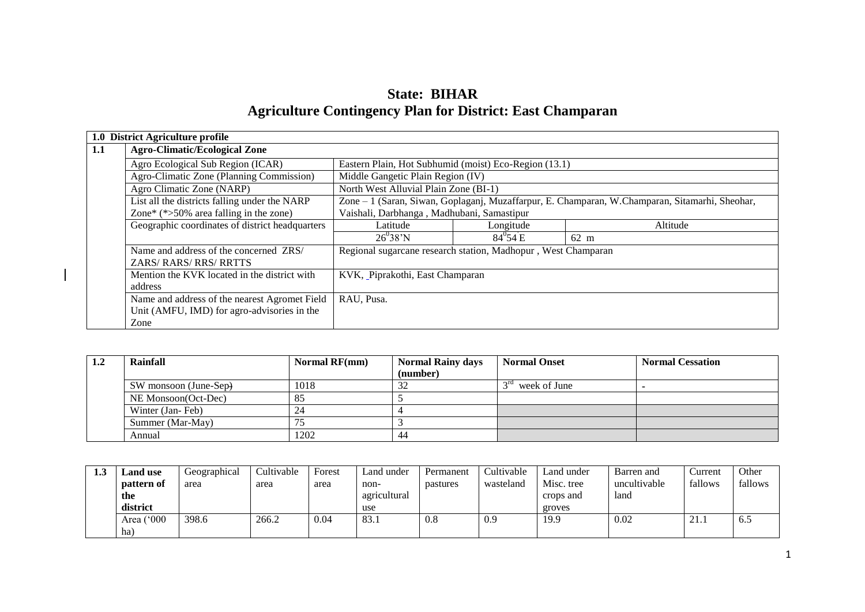| <b>State: BIHAR</b>                                              |
|------------------------------------------------------------------|
| <b>Agriculture Contingency Plan for District: East Champaran</b> |

|     | 1.0 District Agriculture profile                                                           |                                                                                                |                      |          |  |  |
|-----|--------------------------------------------------------------------------------------------|------------------------------------------------------------------------------------------------|----------------------|----------|--|--|
| 1.1 | <b>Agro-Climatic/Ecological Zone</b>                                                       |                                                                                                |                      |          |  |  |
|     | Agro Ecological Sub Region (ICAR)<br>Eastern Plain, Hot Subhumid (moist) Eco-Region (13.1) |                                                                                                |                      |          |  |  |
|     | Agro-Climatic Zone (Planning Commission)                                                   | Middle Gangetic Plain Region (IV)                                                              |                      |          |  |  |
|     | Agro Climatic Zone (NARP)                                                                  | North West Alluvial Plain Zone (BI-1)                                                          |                      |          |  |  |
|     | List all the districts falling under the NARP                                              | Zone - 1 (Saran, Siwan, Goplaganj, Muzaffarpur, E. Champaran, W.Champaran, Sitamarhi, Sheohar, |                      |          |  |  |
|     | Zone* $(*>50\%$ area falling in the zone)                                                  | Vaishali, Darbhanga, Madhubani, Samastipur                                                     |                      |          |  |  |
|     | Geographic coordinates of district headquarters                                            | Latitude                                                                                       | Longitude            | Altitude |  |  |
|     |                                                                                            | $26^{0}38'N$                                                                                   | $84^{0}54 \text{ E}$ | 62 m     |  |  |
|     | Name and address of the concerned ZRS/                                                     | Regional sugarcane research station, Madhopur, West Champaran                                  |                      |          |  |  |
|     | <b>ZARS/RARS/RRS/RRTTS</b>                                                                 |                                                                                                |                      |          |  |  |
|     | Mention the KVK located in the district with                                               | KVK, Piprakothi, East Champaran                                                                |                      |          |  |  |
|     | address                                                                                    |                                                                                                |                      |          |  |  |
|     | Name and address of the nearest Agromet Field                                              | RAU, Pusa.                                                                                     |                      |          |  |  |
|     | Unit (AMFU, IMD) for agro-advisories in the                                                |                                                                                                |                      |          |  |  |
|     | Zone                                                                                       |                                                                                                |                      |          |  |  |

 $\overline{\phantom{a}}$ 

| 1.2 | Rainfall              | Normal $RF(nm)$ | <b>Normal Rainy days</b> | <b>Normal Onset</b>             | <b>Normal Cessation</b> |
|-----|-----------------------|-----------------|--------------------------|---------------------------------|-------------------------|
|     |                       |                 | (number)                 |                                 |                         |
|     | SW monsoon (June-Sep) | 1018            | 32                       | 3 <sup>rd</sup><br>week of June |                         |
|     | NE Monsoon(Oct-Dec)   | 85              |                          |                                 |                         |
|     | Winter (Jan-Feb)      | 24              |                          |                                 |                         |
|     | Summer (Mar-May)      |                 |                          |                                 |                         |
|     | Annual                | 1202            | 44                       |                                 |                         |

| 1.3 | and use.                | Geographical | Cultivable | Forest | Land under   | Permanent | Cultivable | Land under | Barren and   | Current            | Other   |
|-----|-------------------------|--------------|------------|--------|--------------|-----------|------------|------------|--------------|--------------------|---------|
|     | pattern of              | area         | area       | area   | non-         | pastures  | wasteland  | Misc. tree | uncultivable | fallows            | fallows |
|     | the                     |              |            |        | agricultural |           |            | crops and  | land         |                    |         |
|     | district                |              |            |        | use          |           |            | groves     |              |                    |         |
|     | (°000)<br>Area <i>I</i> | 398.6        | 266.2      | 0.04   | 83.          | 0.8       | 0.9        | 19.9       | 0.02         | $\bigcap$ 1<br>4.1 | O.J     |
|     | ha                      |              |            |        |              |           |            |            |              |                    |         |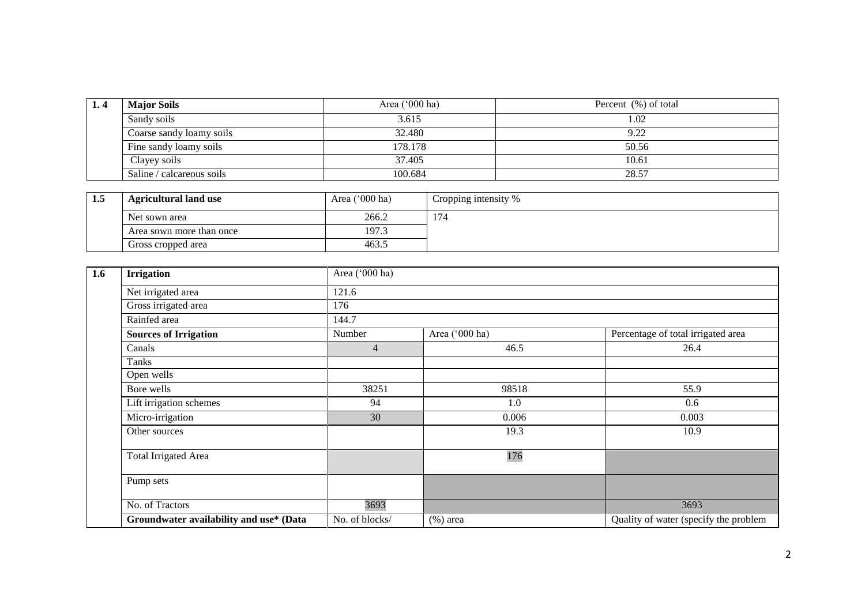| 1.4 | <b>Major Soils</b>        | Area $(000 \text{ ha})$ | Percent (%) of total |
|-----|---------------------------|-------------------------|----------------------|
|     | Sandy soils               | 3.615                   | 1.02                 |
|     | Coarse sandy loamy soils  | 32.480                  | 9.22                 |
|     | Fine sandy loamy soils    | 178.178                 | 50.56                |
|     | Clayey soils              | 37.405                  | 10.61                |
|     | Saline / calcareous soils | 100.684                 | 28.57                |

| ⊥ംЈ | <b>Agricultural land use</b> | Area $(000 \text{ ha})$ | Cropping intensity % |
|-----|------------------------------|-------------------------|----------------------|
|     | Net sown area                | 266.2                   | 174                  |
|     | Area sown more than once     | 197.3                   |                      |
|     | Gross cropped area           | 463.                    |                      |

| 1.6 | <b>Irrigation</b>                       | Area ('000 ha) |                |                                       |  |  |  |  |
|-----|-----------------------------------------|----------------|----------------|---------------------------------------|--|--|--|--|
|     | Net irrigated area                      | 121.6          |                |                                       |  |  |  |  |
|     | Gross irrigated area                    | 176            |                |                                       |  |  |  |  |
|     | Rainfed area                            | 144.7          |                |                                       |  |  |  |  |
|     | <b>Sources of Irrigation</b>            | Number         | Area ('000 ha) | Percentage of total irrigated area    |  |  |  |  |
|     | Canals                                  | $\overline{4}$ | 46.5           | 26.4                                  |  |  |  |  |
|     | Tanks                                   |                |                |                                       |  |  |  |  |
|     | Open wells                              |                |                |                                       |  |  |  |  |
|     | Bore wells                              | 38251          | 98518          | 55.9                                  |  |  |  |  |
|     | Lift irrigation schemes                 | 94             | 1.0            | 0.6                                   |  |  |  |  |
|     | Micro-irrigation                        | 30             | 0.006          | 0.003                                 |  |  |  |  |
|     | Other sources                           |                | 19.3           | 10.9                                  |  |  |  |  |
|     | <b>Total Irrigated Area</b>             |                | 176            |                                       |  |  |  |  |
|     | Pump sets                               |                |                |                                       |  |  |  |  |
|     | No. of Tractors                         | 3693           |                | 3693                                  |  |  |  |  |
|     | Groundwater availability and use* (Data | No. of blocks/ | $(\%)$ area    | Quality of water (specify the problem |  |  |  |  |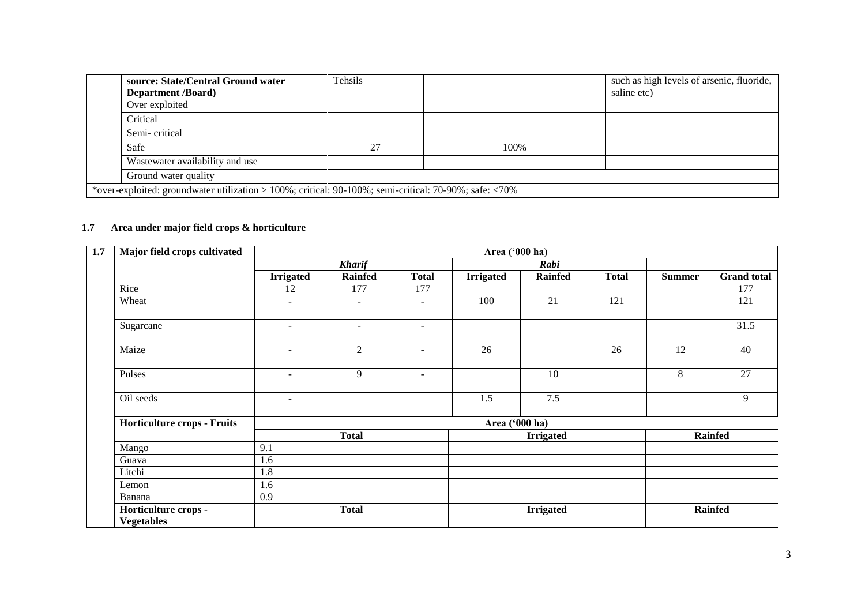| source: State/Central Ground water                                                                            | Tehsils |      | such as high levels of arsenic, fluoride, |  |  |
|---------------------------------------------------------------------------------------------------------------|---------|------|-------------------------------------------|--|--|
| <b>Department</b> /Board)                                                                                     |         |      | saline etc)                               |  |  |
| Over exploited                                                                                                |         |      |                                           |  |  |
| Critical                                                                                                      |         |      |                                           |  |  |
| Semi-critical                                                                                                 |         |      |                                           |  |  |
| Safe                                                                                                          | 27      | 100% |                                           |  |  |
| Wastewater availability and use                                                                               |         |      |                                           |  |  |
| Ground water quality                                                                                          |         |      |                                           |  |  |
| *over-exploited: groundwater utilization > 100%; critical: $90-100\%$ ; semi-critical: $70-90\%$ ; safe: <70% |         |      |                                           |  |  |

## **1.7 Area under major field crops & horticulture**

| 1.7 | Major field crops cultivated              | Area ('000 ha)           |                |                          |                  |                  |              |                |                    |
|-----|-------------------------------------------|--------------------------|----------------|--------------------------|------------------|------------------|--------------|----------------|--------------------|
|     |                                           |                          | <b>Kharif</b>  |                          |                  | Rabi             |              |                |                    |
|     |                                           | <b>Irrigated</b>         | <b>Rainfed</b> | <b>Total</b>             | <b>Irrigated</b> | <b>Rainfed</b>   | <b>Total</b> | <b>Summer</b>  | <b>Grand</b> total |
|     | Rice                                      | 12                       | 177            | 177                      |                  |                  |              |                | 177                |
|     | Wheat                                     | $\overline{\phantom{a}}$ | ۰              | $\blacksquare$           | 100              | 21               | 121          |                | 121                |
|     | Sugarcane                                 | $\overline{\phantom{0}}$ | ÷              | $\overline{\phantom{a}}$ |                  |                  |              |                | 31.5               |
|     | Maize                                     | $\overline{\phantom{a}}$ | $\overline{2}$ | $\overline{\phantom{a}}$ | 26               |                  | 26           | 12             | 40                 |
|     | Pulses                                    | $\overline{\phantom{a}}$ | 9              | $\sim$                   |                  | 10               |              | 8              | 27                 |
|     | Oil seeds                                 | $\blacksquare$           |                |                          | 1.5              | $7.5\,$          |              |                | 9                  |
|     | Horticulture crops - Fruits               |                          |                |                          | Area ('000 ha)   |                  |              |                |                    |
|     |                                           | <b>Total</b>             |                |                          | <b>Irrigated</b> |                  |              | <b>Rainfed</b> |                    |
|     | Mango                                     | 9.1                      |                |                          |                  |                  |              |                |                    |
|     | Guava                                     | 1.6                      |                |                          |                  |                  |              |                |                    |
|     | Litchi                                    | 1.8                      |                |                          |                  |                  |              |                |                    |
|     | Lemon                                     | 1.6                      |                |                          |                  |                  |              |                |                    |
|     | Banana                                    | 0.9                      |                |                          |                  |                  |              |                |                    |
|     | Horticulture crops -<br><b>Vegetables</b> |                          | <b>Total</b>   |                          |                  | <b>Irrigated</b> |              |                | <b>Rainfed</b>     |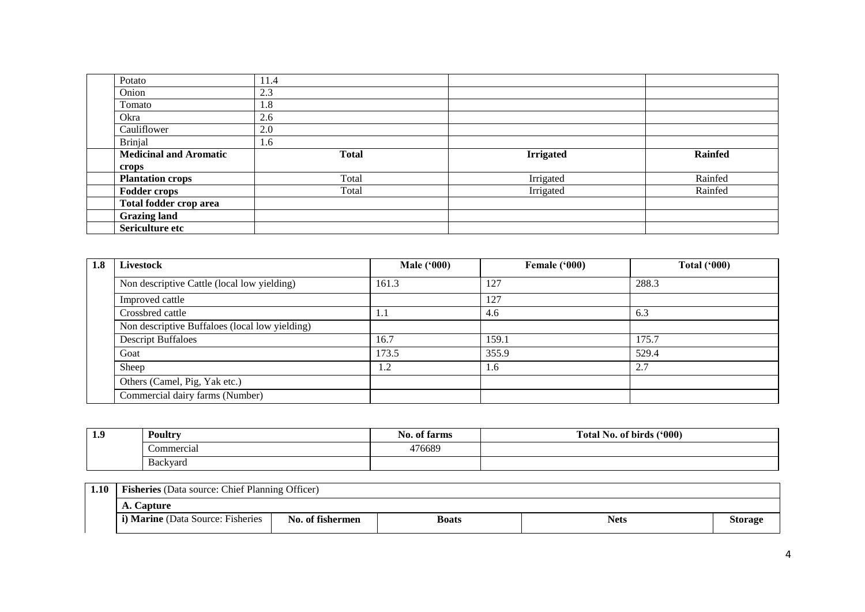| Potato                        | 11.4         |                  |                |
|-------------------------------|--------------|------------------|----------------|
| Onion                         | 2.3          |                  |                |
| Tomato                        | $.8^{-}$     |                  |                |
| Okra                          | 2.6          |                  |                |
| Cauliflower                   | 2.0          |                  |                |
| <b>Brinjal</b>                | 1.6          |                  |                |
| <b>Medicinal and Aromatic</b> | <b>Total</b> | <b>Irrigated</b> | <b>Rainfed</b> |
| crops                         |              |                  |                |
| <b>Plantation crops</b>       | Total        | Irrigated        | Rainfed        |
| <b>Fodder crops</b>           | Total        | Irrigated        | Rainfed        |
| Total fodder crop area        |              |                  |                |
| <b>Grazing land</b>           |              |                  |                |
| Sericulture etc               |              |                  |                |

| 1.8 | Livestock                                      | <b>Male</b> ('000) | Female ('000) | Total $(900)$ |
|-----|------------------------------------------------|--------------------|---------------|---------------|
|     | Non descriptive Cattle (local low yielding)    | 161.3              | 127           | 288.3         |
|     | Improved cattle                                |                    | 127           |               |
|     | Crossbred cattle                               | l.1                | 4.6           | 6.3           |
|     | Non descriptive Buffaloes (local low yielding) |                    |               |               |
|     | <b>Descript Buffaloes</b>                      | 16.7               | 159.1         | 175.7         |
|     | Goat                                           | 173.5              | 355.9         | 529.4         |
|     | Sheep                                          | 1.2                | 1.6           | 2.7           |
|     | Others (Camel, Pig, Yak etc.)                  |                    |               |               |
|     | Commercial dairy farms (Number)                |                    |               |               |

| -0<br><b>TO</b> | <b>Poultry</b>       | N <sub>0</sub><br>$\bullet$<br>of farms | (900)<br>m.<br>.<br>Fotal<br>of birds<br>N <sub>0</sub> . |  |
|-----------------|----------------------|-----------------------------------------|-----------------------------------------------------------|--|
|                 | commercial           | 476689                                  |                                                           |  |
|                 | r<br><b>Backyard</b> |                                         |                                                           |  |

| 1.10 | <b>Fisheries</b> (Data source: Chief Planning Officer) |                  |              |             |                |  |  |
|------|--------------------------------------------------------|------------------|--------------|-------------|----------------|--|--|
|      | A. Capture                                             |                  |              |             |                |  |  |
|      | <i>i</i> ) <b>Marine</b> (Data Source: Fisheries       | No. of fishermen | <b>Boats</b> | <b>Nets</b> | <b>Storage</b> |  |  |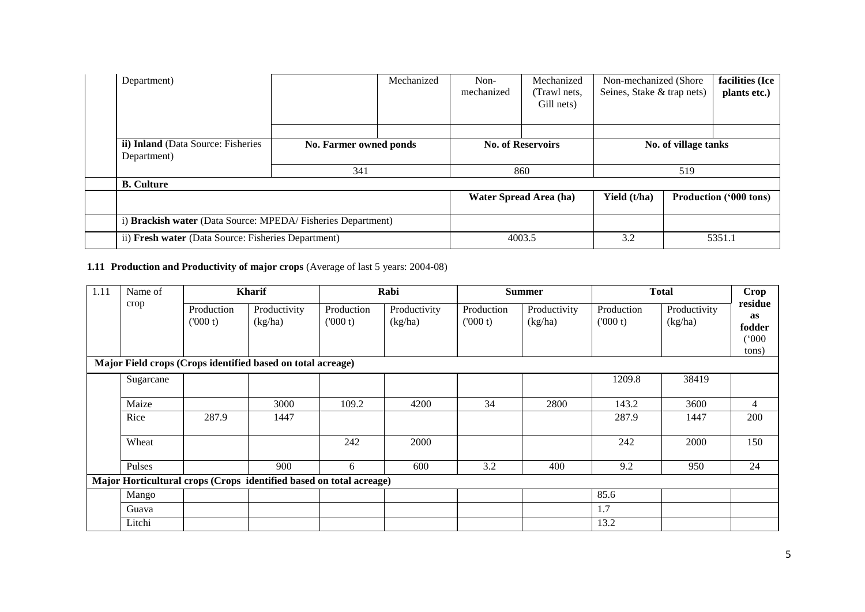| Department)                                                 |                        | Mechanized | Non-<br>mechanized | Mechanized<br>(Trawl nets,<br>Gill nets) | Non-mechanized (Shore)<br>Seines, Stake & trap nets) |                      | facilities (Ice<br>plants etc.) |
|-------------------------------------------------------------|------------------------|------------|--------------------|------------------------------------------|------------------------------------------------------|----------------------|---------------------------------|
|                                                             |                        |            |                    |                                          |                                                      |                      |                                 |
| ii) Inland (Data Source: Fisheries<br>Department)           | No. Farmer owned ponds |            |                    | <b>No. of Reservoirs</b>                 |                                                      | No. of village tanks |                                 |
|                                                             | 341                    |            |                    | 860                                      |                                                      | 519                  |                                 |
| <b>B.</b> Culture                                           |                        |            |                    |                                          |                                                      |                      |                                 |
|                                                             |                        |            |                    | <b>Water Spread Area (ha)</b>            | Yield (t/ha)                                         |                      | Production ('000 tons)          |
| i) Brackish water (Data Source: MPEDA/Fisheries Department) |                        |            |                    |                                          |                                                      |                      |                                 |
| ii) Fresh water (Data Source: Fisheries Department)         |                        |            |                    | 4003.5                                   | 3.2                                                  |                      | 5351.1                          |

# **1.11 Production and Productivity of major crops** (Average of last 5 years: 2004-08)

| 1.11 | Name of   | <b>Kharif</b>         |                                                                     | Rabi                  |                         |                       | <b>Summer</b>           |                       | <b>Total</b>            |                                                  |
|------|-----------|-----------------------|---------------------------------------------------------------------|-----------------------|-------------------------|-----------------------|-------------------------|-----------------------|-------------------------|--------------------------------------------------|
|      | crop      | Production<br>(000 t) | Productivity<br>(kg/ha)                                             | Production<br>(000 t) | Productivity<br>(kg/ha) | Production<br>(000 t) | Productivity<br>(kg/ha) | Production<br>(000 t) | Productivity<br>(kg/ha) | residue<br><b>as</b><br>fodder<br>(000)<br>tons) |
|      |           |                       | Major Field crops (Crops identified based on total acreage)         |                       |                         |                       |                         |                       |                         |                                                  |
|      | Sugarcane |                       |                                                                     |                       |                         |                       |                         | 1209.8                | 38419                   |                                                  |
|      | Maize     |                       | 3000                                                                | 109.2                 | 4200                    | 34                    | 2800                    | 143.2                 | 3600                    | $\overline{4}$                                   |
|      | Rice      | 287.9                 | 1447                                                                |                       |                         |                       |                         | 287.9                 | 1447                    | 200                                              |
|      | Wheat     |                       |                                                                     | 242                   | 2000                    |                       |                         | 242                   | 2000                    | 150                                              |
|      | Pulses    |                       | 900                                                                 | 6                     | 600                     | 3.2                   | 400                     | 9.2                   | 950                     | 24                                               |
|      |           |                       | Major Horticultural crops (Crops identified based on total acreage) |                       |                         |                       |                         |                       |                         |                                                  |
|      | Mango     |                       |                                                                     |                       |                         |                       |                         | 85.6                  |                         |                                                  |
|      | Guava     |                       |                                                                     |                       |                         |                       |                         | 1.7                   |                         |                                                  |
|      | Litchi    |                       |                                                                     |                       |                         |                       |                         | 13.2                  |                         |                                                  |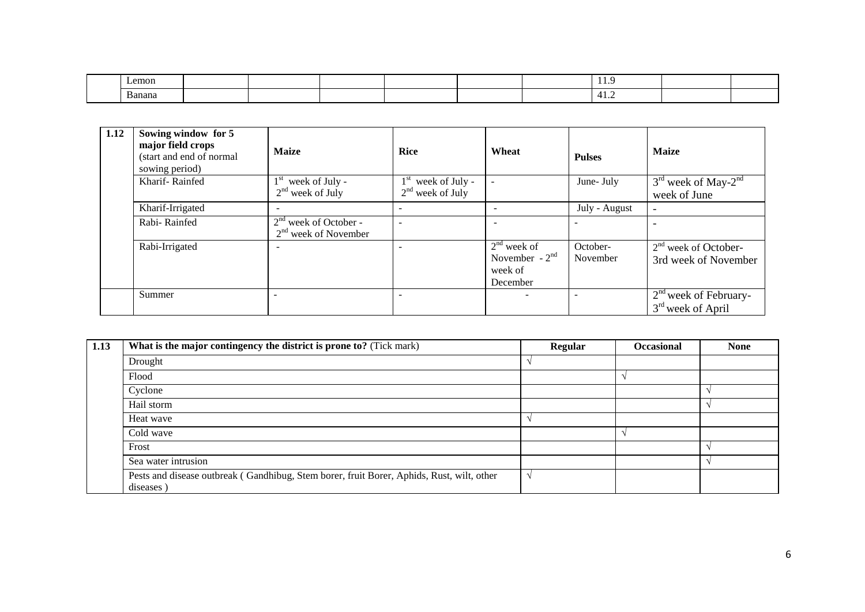| $L$ emon |  |  |  | - 11. 1                                        |  |
|----------|--|--|--|------------------------------------------------|--|
| Banana   |  |  |  | . .<br>41.Z<br>the contract of the contract of |  |

| 1.12 | Sowing window for 5<br>major field crops<br>(start and end of normal<br>sowing period) | <b>Maize</b>                                      | <b>Rice</b>                                             | Wheat                                                    | <b>Pulses</b>        | <b>Maize</b>                                      |
|------|----------------------------------------------------------------------------------------|---------------------------------------------------|---------------------------------------------------------|----------------------------------------------------------|----------------------|---------------------------------------------------|
|      | Kharif-Rainfed                                                                         | $1st$ week of July -<br>$2nd$ week of July        | 1 <sup>st</sup><br>week of July -<br>$2nd$ week of July | $\overline{\phantom{a}}$                                 | June- July           | $3rd$ week of May-2 <sup>nd</sup><br>week of June |
|      | Kharif-Irrigated                                                                       |                                                   |                                                         |                                                          | July - August        | ٠                                                 |
|      | Rabi-Rainfed                                                                           | $2nd$ week of October -<br>$2nd$ week of November | $\overline{\phantom{a}}$                                |                                                          |                      |                                                   |
|      | Rabi-Irrigated                                                                         |                                                   |                                                         | $2nd$ week of<br>November - $2nd$<br>week of<br>December | October-<br>November | $2nd$ week of October-<br>3rd week of November    |
|      | Summer                                                                                 |                                                   |                                                         |                                                          |                      | $2nd$ week of February-<br>$3rd$ week of April    |

| 1.13 | What is the major contingency the district is prone to? (Tick mark)                                    | Regular | <b>Occasional</b> | <b>None</b> |
|------|--------------------------------------------------------------------------------------------------------|---------|-------------------|-------------|
|      | Drought                                                                                                |         |                   |             |
|      | Flood                                                                                                  |         |                   |             |
|      | Cyclone                                                                                                |         |                   |             |
|      | Hail storm                                                                                             |         |                   |             |
|      | Heat wave                                                                                              |         |                   |             |
|      | Cold wave                                                                                              |         |                   |             |
|      | Frost                                                                                                  |         |                   |             |
|      | Sea water intrusion                                                                                    |         |                   |             |
|      | Pests and disease outbreak (Gandhibug, Stem borer, fruit Borer, Aphids, Rust, wilt, other<br>diseases) |         |                   |             |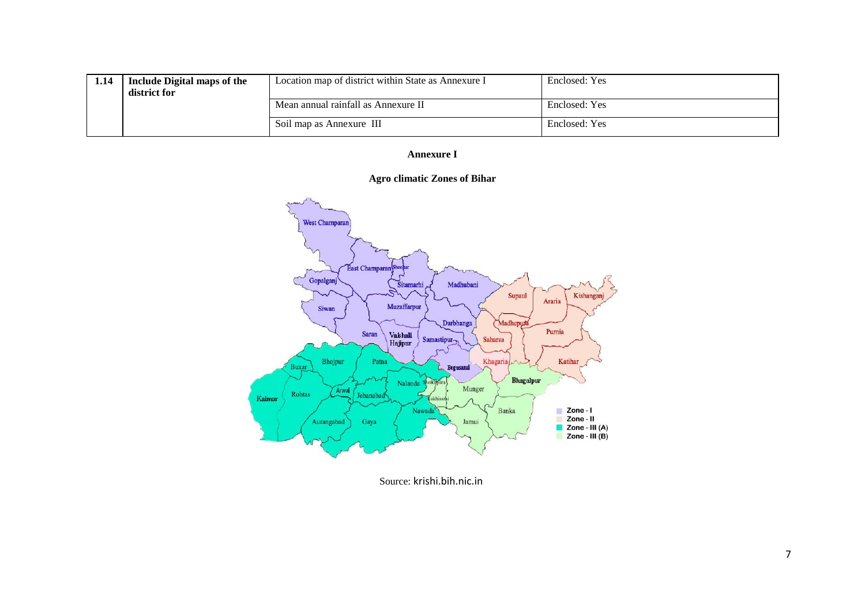| 1.14 | Include Digital maps of the<br>district for | Location map of district within State as Annexure I | Enclosed: Yes |
|------|---------------------------------------------|-----------------------------------------------------|---------------|
|      |                                             | Mean annual rainfall as Annexure II                 | Enclosed: Yes |
|      |                                             | Soil map as Annexure III                            | Enclosed: Yes |

### **Annexure I**





Source: krishi.bih.nic.in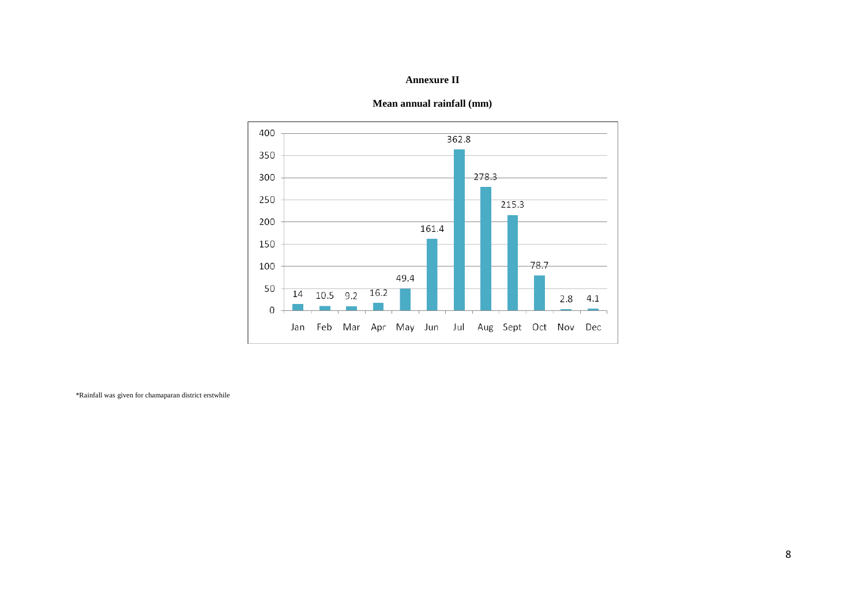### **Annexure II**



### **Mean annual rainfall (mm)**

\*Rainfall was given for chamaparan district erstwhile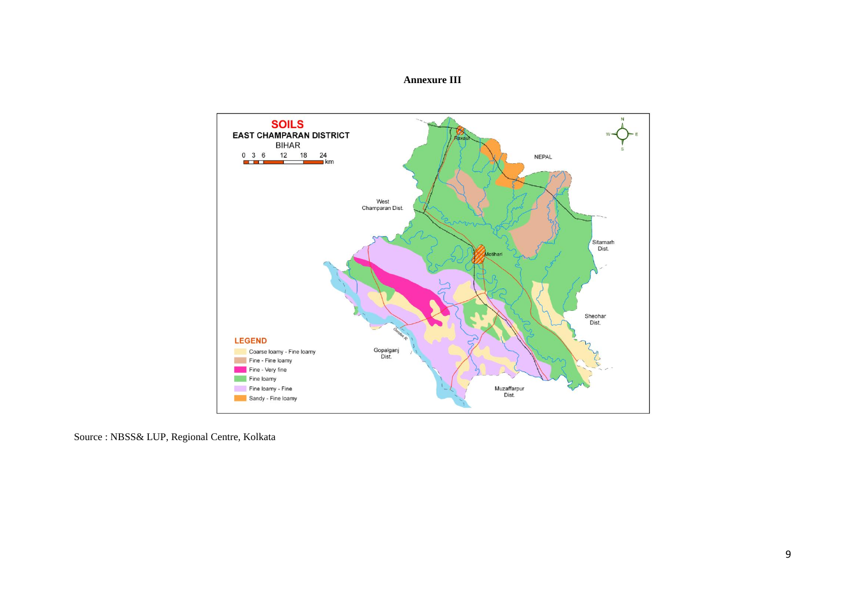



Source : NBSS& LUP, Regional Centre, Kolkata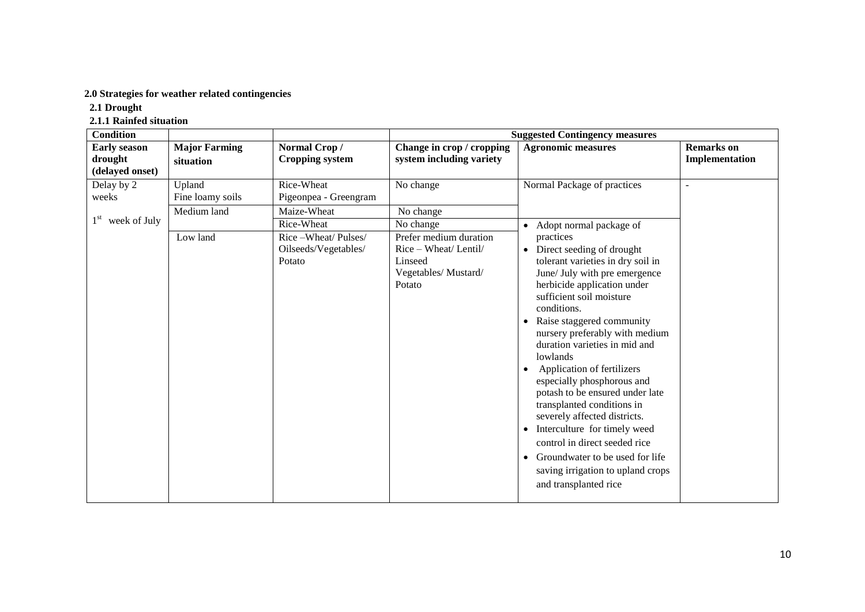## **2.0 Strategies for weather related contingencies**

 **2.1 Drought** 

 **2.1.1 Rainfed situation**

| <b>Condition</b>                                  |                                           |                                                                    |                                                                                                          | <b>Suggested Contingency measures</b>                                                                                                                                                                                                                                                                                                                                                                                                                                                                                                                                                                                                                                       |                                     |
|---------------------------------------------------|-------------------------------------------|--------------------------------------------------------------------|----------------------------------------------------------------------------------------------------------|-----------------------------------------------------------------------------------------------------------------------------------------------------------------------------------------------------------------------------------------------------------------------------------------------------------------------------------------------------------------------------------------------------------------------------------------------------------------------------------------------------------------------------------------------------------------------------------------------------------------------------------------------------------------------------|-------------------------------------|
| <b>Early season</b><br>drought<br>(delayed onset) | <b>Major Farming</b><br>situation         | Normal Crop/<br><b>Cropping system</b>                             | Change in crop / cropping<br>system including variety                                                    | <b>Agronomic measures</b>                                                                                                                                                                                                                                                                                                                                                                                                                                                                                                                                                                                                                                                   | <b>Remarks</b> on<br>Implementation |
| Delay by 2<br>weeks                               | Upland<br>Fine loamy soils<br>Medium land | Rice-Wheat<br>Pigeonpea - Greengram<br>Maize-Wheat                 | No change<br>No change                                                                                   | Normal Package of practices                                                                                                                                                                                                                                                                                                                                                                                                                                                                                                                                                                                                                                                 | ÷.                                  |
| $1st$ week of July                                | Low land                                  | Rice-Wheat<br>Rice-Wheat/Pulses/<br>Oilseeds/Vegetables/<br>Potato | No change<br>Prefer medium duration<br>Rice – Wheat/ Lentil/<br>Linseed<br>Vegetables/Mustard/<br>Potato | Adopt normal package of<br>practices<br>Direct seeding of drought<br>$\bullet$<br>tolerant varieties in dry soil in<br>June/ July with pre emergence<br>herbicide application under<br>sufficient soil moisture<br>conditions.<br>Raise staggered community<br>nursery preferably with medium<br>duration varieties in mid and<br>lowlands<br>Application of fertilizers<br>especially phosphorous and<br>potash to be ensured under late<br>transplanted conditions in<br>severely affected districts.<br>Interculture for timely weed<br>control in direct seeded rice<br>• Groundwater to be used for life<br>saving irrigation to upland crops<br>and transplanted rice |                                     |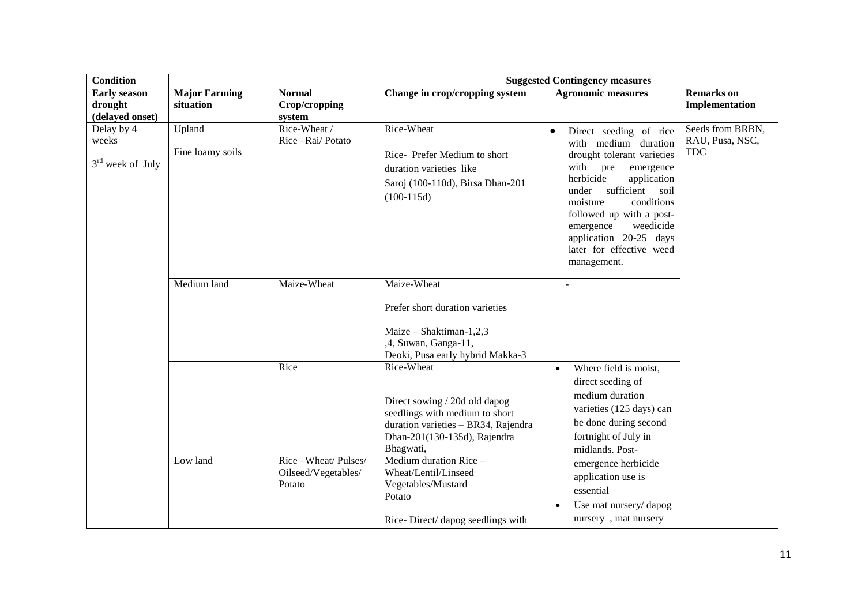| <b>Condition</b>                          |                                   |                                                             |                                                                                                                                                                                                                                                                                          | <b>Suggested Contingency measures</b>                                                                                                                                                                                                                                                                           |                                                   |
|-------------------------------------------|-----------------------------------|-------------------------------------------------------------|------------------------------------------------------------------------------------------------------------------------------------------------------------------------------------------------------------------------------------------------------------------------------------------|-----------------------------------------------------------------------------------------------------------------------------------------------------------------------------------------------------------------------------------------------------------------------------------------------------------------|---------------------------------------------------|
| <b>Early season</b><br>drought            | <b>Major Farming</b><br>situation | <b>Normal</b><br>Crop/cropping                              | Change in crop/cropping system                                                                                                                                                                                                                                                           | <b>Agronomic measures</b>                                                                                                                                                                                                                                                                                       | <b>Remarks</b> on<br>Implementation               |
| (delayed onset)                           |                                   | system                                                      |                                                                                                                                                                                                                                                                                          |                                                                                                                                                                                                                                                                                                                 |                                                   |
| Delay by 4<br>weeks<br>$3rd$ week of July | Upland<br>Fine loamy soils        | Rice-Wheat /<br>Rice-Rai/Potato                             | Rice-Wheat<br>Rice-Prefer Medium to short<br>duration varieties like<br>Saroj (100-110d), Birsa Dhan-201<br>$(100-115d)$                                                                                                                                                                 | Direct seeding of rice<br>with medium duration<br>drought tolerant varieties<br>with pre<br>emergence<br>herbicide<br>application<br>under sufficient soil<br>conditions<br>moisture<br>followed up with a post-<br>weedicide<br>emergence<br>application 20-25 days<br>later for effective weed<br>management. | Seeds from BRBN,<br>RAU, Pusa, NSC,<br><b>TDC</b> |
|                                           | Medium land                       | Maize-Wheat                                                 | Maize-Wheat<br>Prefer short duration varieties<br>Maize - Shaktiman-1,2,3<br>,4, Suwan, Ganga-11,<br>Deoki, Pusa early hybrid Makka-3                                                                                                                                                    |                                                                                                                                                                                                                                                                                                                 |                                                   |
|                                           | Low land                          | Rice<br>Rice-Wheat/Pulses/<br>Oilseed/Vegetables/<br>Potato | Rice-Wheat<br>Direct sowing / 20d old dapog<br>seedlings with medium to short<br>duration varieties - BR34, Rajendra<br>Dhan-201(130-135d), Rajendra<br>Bhagwati,<br>Medium duration Rice -<br>Wheat/Lentil/Linseed<br>Vegetables/Mustard<br>Potato<br>Rice-Direct/ dapog seedlings with | Where field is moist,<br>$\bullet$<br>direct seeding of<br>medium duration<br>varieties (125 days) can<br>be done during second<br>fortnight of July in<br>midlands. Post-<br>emergence herbicide<br>application use is<br>essential<br>Use mat nursery/dapog<br>nursery, mat nursery                           |                                                   |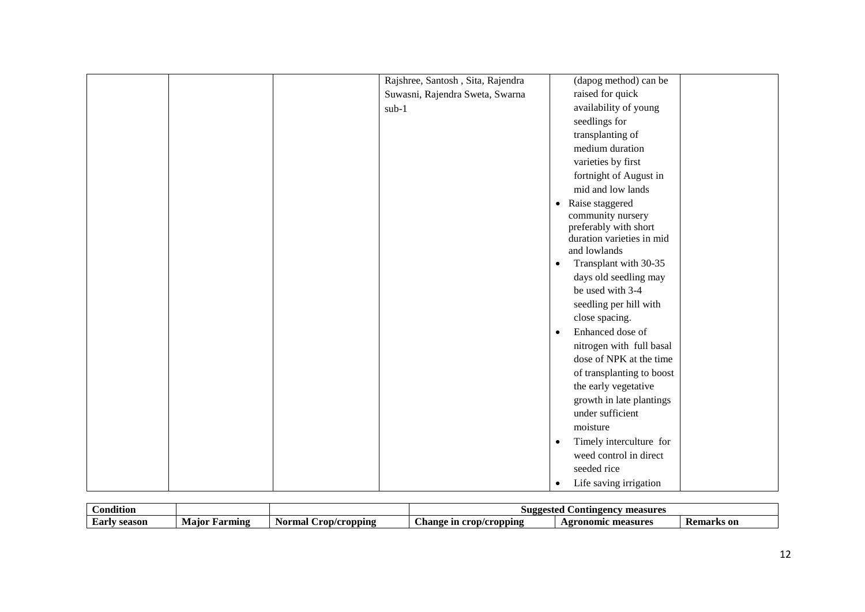| Rajshree, Santosh, Sita, Rajendra | (dapog method) can be                |
|-----------------------------------|--------------------------------------|
| Suwasni, Rajendra Sweta, Swarna   | raised for quick                     |
| $sub-1$                           | availability of young                |
|                                   | seedlings for                        |
|                                   | transplanting of                     |
|                                   | medium duration                      |
|                                   | varieties by first                   |
|                                   | fortnight of August in               |
|                                   | mid and low lands                    |
|                                   | Raise staggered<br>$\bullet$         |
|                                   | community nursery                    |
|                                   | preferably with short                |
|                                   | duration varieties in mid            |
|                                   | and lowlands                         |
|                                   | Transplant with 30-35<br>٠           |
|                                   | days old seedling may                |
|                                   | be used with 3-4                     |
|                                   | seedling per hill with               |
|                                   | close spacing.                       |
|                                   | Enhanced dose of<br>$\bullet$        |
|                                   | nitrogen with full basal             |
|                                   | dose of NPK at the time              |
|                                   | of transplanting to boost            |
|                                   | the early vegetative                 |
|                                   | growth in late plantings             |
|                                   | under sufficient                     |
|                                   | moisture                             |
|                                   | Timely interculture for<br>$\bullet$ |
|                                   | weed control in direct               |
|                                   | seeded rice                          |
|                                   | Life saving irrigation<br>$\bullet$  |

| $\mathbf{u} \bullet \mathbf{v}$<br><b>Condition</b> |                 |                         | ontingency_<br>measures<br>Suggested     |                                |                   |
|-----------------------------------------------------|-----------------|-------------------------|------------------------------------------|--------------------------------|-------------------|
| <br>Earl<br>season                                  | Farmıng<br>Маюі | Crop/cropipip<br>Normal | <b>_nange</b><br>1 crop/cropping<br>-111 | Agronomic<br>: measures<br>лM, | <b>Remarks</b> on |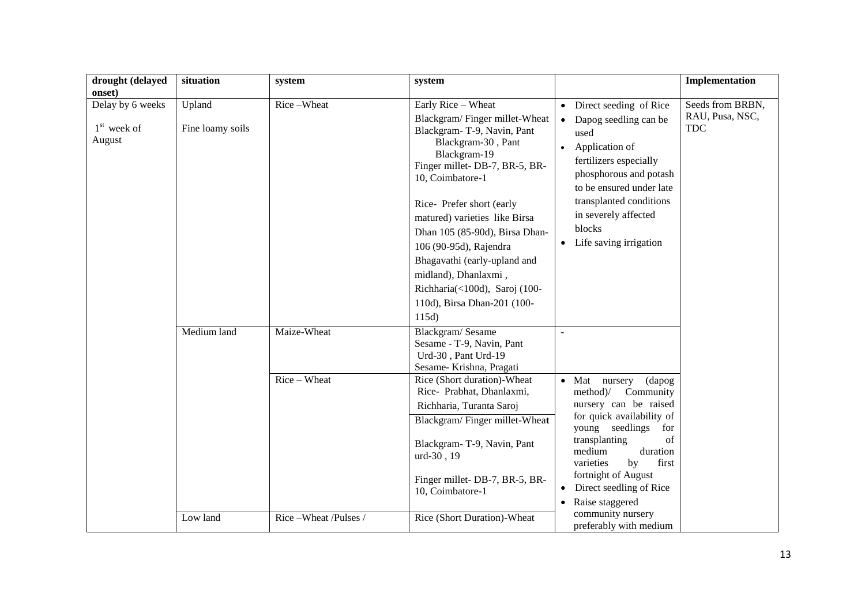| drought (delayed                                      | situation                  | system             | system                                                                                                                                                                                                                                                                     |                                                                                                                                                                                                                                                                                            | Implementation                                    |
|-------------------------------------------------------|----------------------------|--------------------|----------------------------------------------------------------------------------------------------------------------------------------------------------------------------------------------------------------------------------------------------------------------------|--------------------------------------------------------------------------------------------------------------------------------------------------------------------------------------------------------------------------------------------------------------------------------------------|---------------------------------------------------|
| onset)<br>Delay by 6 weeks<br>$1st$ week of<br>August | Upland<br>Fine loamy soils | Rice-Wheat         | Early Rice - Wheat<br>Blackgram/Finger millet-Wheat<br>Blackgram-T-9, Navin, Pant<br>Blackgram-30, Pant<br>Blackgram-19<br>Finger millet-DB-7, BR-5, BR-                                                                                                                   | • Direct seeding of Rice<br>Dapog seedling can be<br>$\bullet$<br>used<br>Application of<br>$\bullet$<br>fertilizers especially                                                                                                                                                            | Seeds from BRBN,<br>RAU, Pusa, NSC,<br><b>TDC</b> |
|                                                       |                            |                    | 10, Coimbatore-1<br>Rice-Prefer short (early<br>matured) varieties like Birsa<br>Dhan 105 (85-90d), Birsa Dhan-<br>106 (90-95d), Rajendra<br>Bhagavathi (early-upland and<br>midland), Dhanlaxmi,<br>Richharia(<100d), Saroj (100-<br>110d), Birsa Dhan-201 (100-<br>115d) | phosphorous and potash<br>to be ensured under late<br>transplanted conditions<br>in severely affected<br>blocks<br>Life saving irrigation<br>$\bullet$                                                                                                                                     |                                                   |
|                                                       | Medium land                | Maize-Wheat        | Blackgram/Sesame<br>Sesame - T-9, Navin, Pant<br>Urd-30, Pant Urd-19<br>Sesame-Krishna, Pragati                                                                                                                                                                            | $\sim$                                                                                                                                                                                                                                                                                     |                                                   |
|                                                       |                            | Rice - Wheat       | Rice (Short duration)-Wheat<br>Rice- Prabhat, Dhanlaxmi,<br>Richharia, Turanta Saroj<br>Blackgram/Finger millet-Wheat<br>Blackgram-T-9, Navin, Pant<br>urd-30, 19<br>Finger millet- DB-7, BR-5, BR-<br>10, Coimbatore-1                                                    | $\bullet$ Mat<br>(dapog)<br>nursery<br>method)/<br>Community<br>nursery can be raised<br>for quick availability of<br>young seedlings<br>for<br>of<br>transplanting<br>medium<br>duration<br>varieties<br>by<br>first<br>fortnight of August<br>Direct seedling of Rice<br>Raise staggered |                                                   |
|                                                       | Low land                   | Rice-Wheat/Pulses/ | Rice (Short Duration)-Wheat                                                                                                                                                                                                                                                | community nursery<br>preferably with medium                                                                                                                                                                                                                                                |                                                   |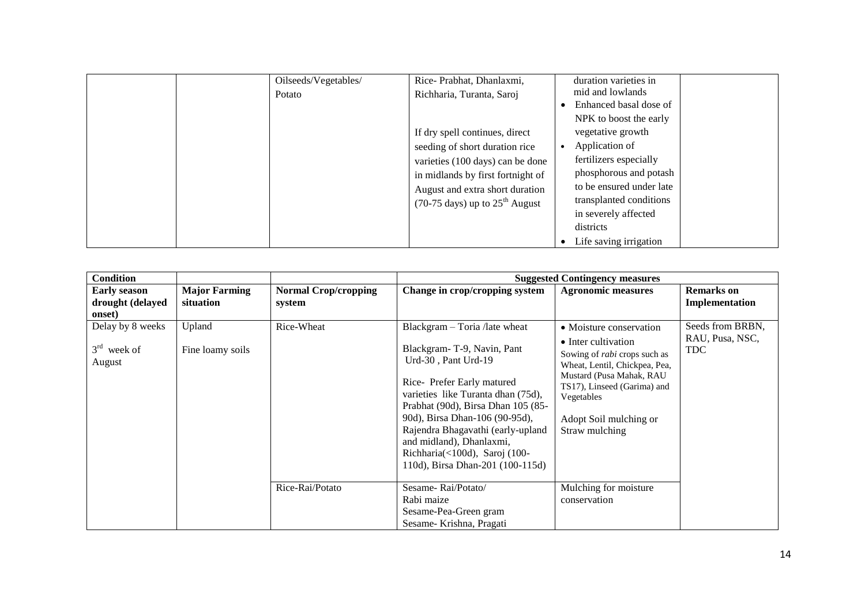| Oilseeds/Vegetables/ | Rice-Prabhat, Dhanlaxmi,                             | duration varieties in    |
|----------------------|------------------------------------------------------|--------------------------|
| Potato               | Richharia, Turanta, Saroj                            | mid and lowlands         |
|                      |                                                      | Enhanced basal dose of   |
|                      |                                                      | NPK to boost the early   |
|                      | If dry spell continues, direct                       | vegetative growth        |
|                      | seeding of short duration rice                       | Application of           |
|                      | varieties (100 days) can be done                     | fertilizers especially   |
|                      | in midlands by first fortnight of                    | phosphorous and potash   |
|                      | August and extra short duration                      | to be ensured under late |
|                      | $(70-75 \text{ days})$ up to $25^{\text{th}}$ August | transplanted conditions  |
|                      |                                                      | in severely affected     |
|                      |                                                      | districts                |
|                      |                                                      | Life saving irrigation   |

| <b>Condition</b>                                  |                                   |                                       | <b>Suggested Contingency measures</b>                                                                                                                                                                                                                                                                                                                               |                                                                                                                                                                                                                                             |                                                   |  |  |
|---------------------------------------------------|-----------------------------------|---------------------------------------|---------------------------------------------------------------------------------------------------------------------------------------------------------------------------------------------------------------------------------------------------------------------------------------------------------------------------------------------------------------------|---------------------------------------------------------------------------------------------------------------------------------------------------------------------------------------------------------------------------------------------|---------------------------------------------------|--|--|
| <b>Early season</b><br>drought (delayed<br>onset) | <b>Major Farming</b><br>situation | <b>Normal Crop/cropping</b><br>system | Change in crop/cropping system                                                                                                                                                                                                                                                                                                                                      | <b>Agronomic measures</b>                                                                                                                                                                                                                   | <b>Remarks</b> on<br>Implementation               |  |  |
| Delay by 8 weeks<br>$3rd$ week of<br>August       | Upland<br>Fine loamy soils        | Rice-Wheat                            | Blackgram - Toria /late wheat<br>Blackgram-T-9, Navin, Pant<br>Urd-30, Pant Urd-19<br>Rice-Prefer Early matured<br>varieties like Turanta dhan (75d),<br>Prabhat (90d), Birsa Dhan 105 (85-<br>90d), Birsa Dhan-106 (90-95d),<br>Rajendra Bhagavathi (early-upland<br>and midland), Dhanlaxmi,<br>Richharia(<100d), Saroj (100-<br>110d), Birsa Dhan-201 (100-115d) | • Moisture conservation<br>• Inter cultivation<br>Sowing of <i>rabi</i> crops such as<br>Wheat, Lentil, Chickpea, Pea,<br>Mustard (Pusa Mahak, RAU<br>TS17), Linseed (Garima) and<br>Vegetables<br>Adopt Soil mulching or<br>Straw mulching | Seeds from BRBN,<br>RAU, Pusa, NSC,<br><b>TDC</b> |  |  |
|                                                   |                                   | Rice-Rai/Potato                       | Sesame-Rai/Potato/<br>Rabi maize<br>Sesame-Pea-Green gram<br>Sesame-Krishna, Pragati                                                                                                                                                                                                                                                                                | Mulching for moisture<br>conservation                                                                                                                                                                                                       |                                                   |  |  |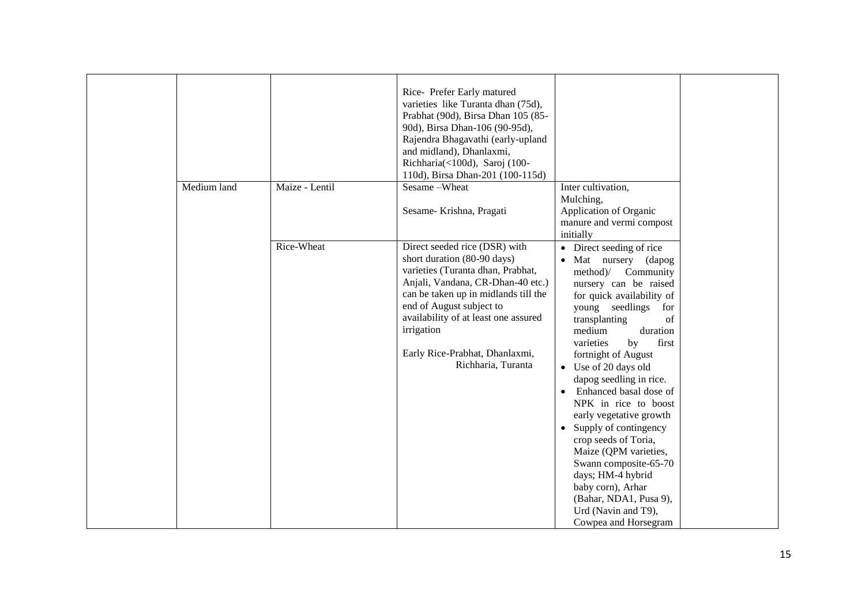|             |                | Rice-Prefer Early matured<br>varieties like Turanta dhan (75d),<br>Prabhat (90d), Birsa Dhan 105 (85-<br>90d), Birsa Dhan-106 (90-95d),<br>Rajendra Bhagavathi (early-upland<br>and midland), Dhanlaxmi,<br>Richharia(<100d), Saroj (100-<br>110d), Birsa Dhan-201 (100-115d)                                            |                                                                                                                                                                                                                                                                                                                                                                                                                                                                                                                                                                                                                                                |
|-------------|----------------|--------------------------------------------------------------------------------------------------------------------------------------------------------------------------------------------------------------------------------------------------------------------------------------------------------------------------|------------------------------------------------------------------------------------------------------------------------------------------------------------------------------------------------------------------------------------------------------------------------------------------------------------------------------------------------------------------------------------------------------------------------------------------------------------------------------------------------------------------------------------------------------------------------------------------------------------------------------------------------|
| Medium land | Maize - Lentil | Sesame-Wheat<br>Sesame-Krishna, Pragati                                                                                                                                                                                                                                                                                  | Inter cultivation,<br>Mulching,<br>Application of Organic<br>manure and vermi compost<br>initially                                                                                                                                                                                                                                                                                                                                                                                                                                                                                                                                             |
|             | Rice-Wheat     | Direct seeded rice (DSR) with<br>short duration (80-90 days)<br>varieties (Turanta dhan, Prabhat,<br>Anjali, Vandana, CR-Dhan-40 etc.)<br>can be taken up in midlands till the<br>end of August subject to<br>availability of at least one assured<br>irrigation<br>Early Rice-Prabhat, Dhanlaxmi,<br>Richharia, Turanta | Direct seeding of rice<br>$\bullet$<br>Mat nursery (dapog<br>$\bullet$<br>method)/ Community<br>nursery can be raised<br>for quick availability of<br>young seedlings for<br>transplanting<br>of<br>medium<br>duration<br>by<br>varieties<br>first<br>fortnight of August<br>• Use of 20 days old<br>dapog seedling in rice.<br>Enhanced basal dose of<br>$\bullet$<br>NPK in rice to boost<br>early vegetative growth<br>• Supply of contingency<br>crop seeds of Toria,<br>Maize (QPM varieties,<br>Swann composite-65-70<br>days; HM-4 hybrid<br>baby corn), Arhar<br>(Bahar, NDA1, Pusa 9),<br>Urd (Navin and T9),<br>Cowpea and Horsegram |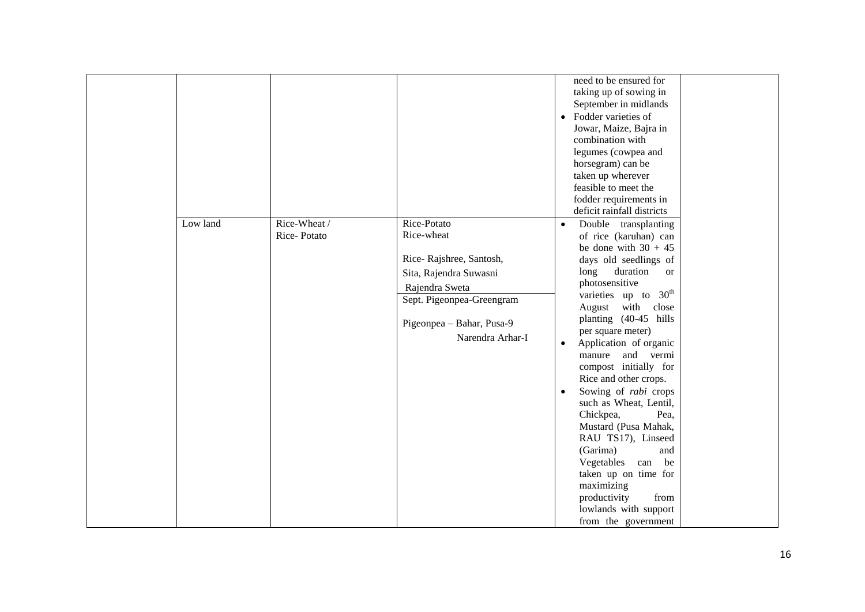|          |              |                           | need to be ensured for                   |
|----------|--------------|---------------------------|------------------------------------------|
|          |              |                           | taking up of sowing in                   |
|          |              |                           | September in midlands                    |
|          |              |                           | Fodder varieties of<br>$\bullet$         |
|          |              |                           | Jowar, Maize, Bajra in                   |
|          |              |                           | combination with                         |
|          |              |                           | legumes (cowpea and                      |
|          |              |                           | horsegram) can be                        |
|          |              |                           | taken up wherever                        |
|          |              |                           | feasible to meet the                     |
|          |              |                           | fodder requirements in                   |
|          |              |                           | deficit rainfall districts               |
| Low land | Rice-Wheat / | Rice-Potato               | Double transplanting                     |
|          | Rice-Potato  | Rice-wheat                | of rice (karuhan) can                    |
|          |              |                           | be done with $30 + 45$                   |
|          |              | Rice-Rajshree, Santosh,   | days old seedlings of                    |
|          |              | Sita, Rajendra Suwasni    | duration<br>long<br><sub>or</sub>        |
|          |              | Rajendra Sweta            | photosensitive                           |
|          |              | Sept. Pigeonpea-Greengram | varieties up to 30 <sup>th</sup>         |
|          |              |                           | August with close                        |
|          |              | Pigeonpea - Bahar, Pusa-9 | planting (40-45 hills                    |
|          |              | Narendra Arhar-I          | per square meter)                        |
|          |              |                           | Application of organic<br>$\bullet$      |
|          |              |                           | manure and vermi                         |
|          |              |                           | compost initially for                    |
|          |              |                           | Rice and other crops.                    |
|          |              |                           | Sowing of <i>rabi</i> crops<br>$\bullet$ |
|          |              |                           | such as Wheat, Lentil,                   |
|          |              |                           | Chickpea,<br>Pea,                        |
|          |              |                           | Mustard (Pusa Mahak,                     |
|          |              |                           | RAU TS17), Linseed                       |
|          |              |                           | (Garima)<br>and                          |
|          |              |                           | Vegetables can be                        |
|          |              |                           | taken up on time for                     |
|          |              |                           | maximizing                               |
|          |              |                           | productivity<br>from                     |
|          |              |                           | lowlands with support                    |
|          |              |                           | from the government                      |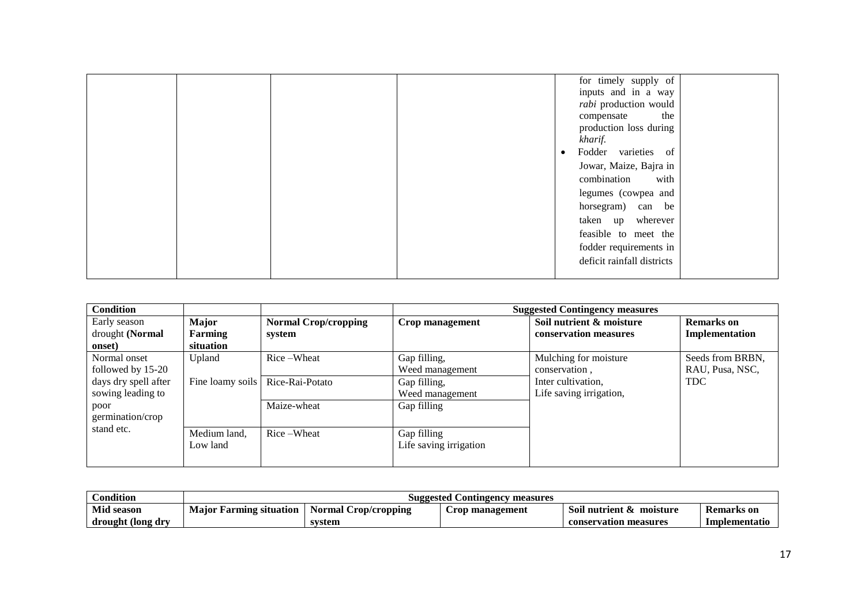|  | for timely supply of             |  |
|--|----------------------------------|--|
|  | inputs and in a way              |  |
|  | rabi production would            |  |
|  | the<br>compensate                |  |
|  | production loss during           |  |
|  | kharif.                          |  |
|  | Fodder varieties of<br>$\bullet$ |  |
|  | Jowar, Maize, Bajra in           |  |
|  | combination with                 |  |
|  | legumes (cowpea and              |  |
|  | horsegram) can be                |  |
|  | taken up wherever                |  |
|  | feasible to meet the             |  |
|  | fodder requirements in           |  |
|  | deficit rainfall districts       |  |
|  |                                  |  |

| <b>Condition</b>     |                  |                             | <b>Suggested Contingency measures</b> |                          |                   |  |  |
|----------------------|------------------|-----------------------------|---------------------------------------|--------------------------|-------------------|--|--|
| Early season         | Major            | <b>Normal Crop/cropping</b> | Crop management                       | Soil nutrient & moisture | <b>Remarks</b> on |  |  |
| drought (Normal      | <b>Farming</b>   | system                      |                                       | conservation measures    | Implementation    |  |  |
| onset)               | situation        |                             |                                       |                          |                   |  |  |
| Normal onset         | Upland           | Rice-Wheat                  | Gap filling,                          | Mulching for moisture    | Seeds from BRBN,  |  |  |
| followed by 15-20    |                  |                             | Weed management                       | conservation.            | RAU, Pusa, NSC,   |  |  |
| days dry spell after | Fine loamy soils | Rice-Rai-Potato             | Gap filling,                          | Inter cultivation,       | <b>TDC</b>        |  |  |
| sowing leading to    |                  |                             | Weed management                       | Life saving irrigation,  |                   |  |  |
| poor                 |                  | Maize-wheat                 | Gap filling                           |                          |                   |  |  |
| germination/crop     |                  |                             |                                       |                          |                   |  |  |
| stand etc.           | Medium land,     | Rice-Wheat                  | Gap filling                           |                          |                   |  |  |
|                      | Low land         |                             | Life saving irrigation                |                          |                   |  |  |
|                      |                  |                             |                                       |                          |                   |  |  |

| Condition         | <b>Suggested Contingency measures</b> |                         |                 |                            |               |  |  |
|-------------------|---------------------------------------|-------------------------|-----------------|----------------------------|---------------|--|--|
| <b>Mid season</b> | <b>Maior</b><br>: Farming situation   | Crop/cropping<br>Normal | Crop management | moisture<br>Soil nutrient- | Remarks on    |  |  |
| drought (long dry |                                       | svstem                  |                 | conservation measures      | Implementatio |  |  |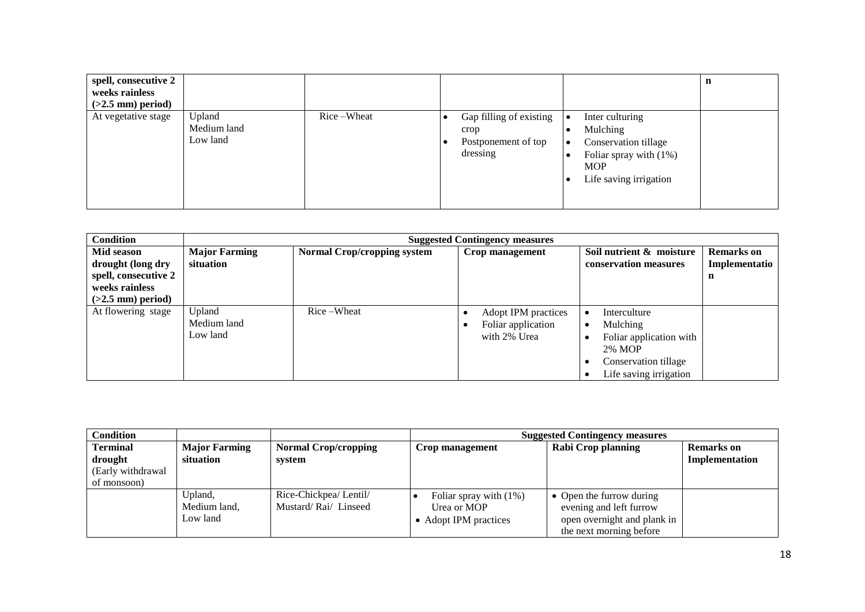| spell, consecutive 2<br>weeks rainless<br>$(>2.5$ mm) period) |                                   |            |                                                                    |                                                                                                                         | n |
|---------------------------------------------------------------|-----------------------------------|------------|--------------------------------------------------------------------|-------------------------------------------------------------------------------------------------------------------------|---|
| At vegetative stage                                           | Upland<br>Medium land<br>Low land | Rice-Wheat | Gap filling of existing<br>crop<br>Postponement of top<br>dressing | Inter culturing<br>Mulching<br>Conservation tillage<br>Foliar spray with $(1%)$<br><b>MOP</b><br>Life saving irrigation |   |

| <b>Condition</b>     |                      | <b>Suggested Contingency measures</b> |                     |                          |                   |  |  |
|----------------------|----------------------|---------------------------------------|---------------------|--------------------------|-------------------|--|--|
| Mid season           | <b>Major Farming</b> | <b>Normal Crop/cropping system</b>    | Crop management     | Soil nutrient & moisture | <b>Remarks</b> on |  |  |
| drought (long dry    | situation            |                                       |                     | conservation measures    | Implementatio     |  |  |
| spell, consecutive 2 |                      |                                       |                     |                          | n                 |  |  |
| weeks rainless       |                      |                                       |                     |                          |                   |  |  |
| $(>2.5$ mm) period)  |                      |                                       |                     |                          |                   |  |  |
| At flowering stage   | Upland               | Rice-Wheat                            | Adopt IPM practices | Interculture             |                   |  |  |
|                      | Medium land          |                                       | Foliar application  | Mulching                 |                   |  |  |
|                      | Low land             |                                       | with 2% Urea        | Foliar application with  |                   |  |  |
|                      |                      |                                       |                     | 2% MOP                   |                   |  |  |
|                      |                      |                                       |                     | Conservation tillage     |                   |  |  |
|                      |                      |                                       |                     | Life saving irrigation   |                   |  |  |

| <b>Condition</b>  |                      |                             | <b>Suggested Contingency measures</b> |                             |                   |  |  |
|-------------------|----------------------|-----------------------------|---------------------------------------|-----------------------------|-------------------|--|--|
| <b>Terminal</b>   | <b>Major Farming</b> | <b>Normal Crop/cropping</b> | Crop management                       | Rabi Crop planning          | <b>Remarks</b> on |  |  |
| drought           | situation            | system                      |                                       |                             | Implementation    |  |  |
| (Early withdrawal |                      |                             |                                       |                             |                   |  |  |
| of monsoon)       |                      |                             |                                       |                             |                   |  |  |
|                   | Upland,              | Rice-Chickpea/ Lentil/      | Foliar spray with $(1\%)$             | • Open the furrow during    |                   |  |  |
|                   | Medium land,         | Mustard/Rai/Linseed         | Urea or MOP                           | evening and left furrow     |                   |  |  |
|                   | Low land             |                             | • Adopt IPM practices                 | open overnight and plank in |                   |  |  |
|                   |                      |                             |                                       | the next morning before     |                   |  |  |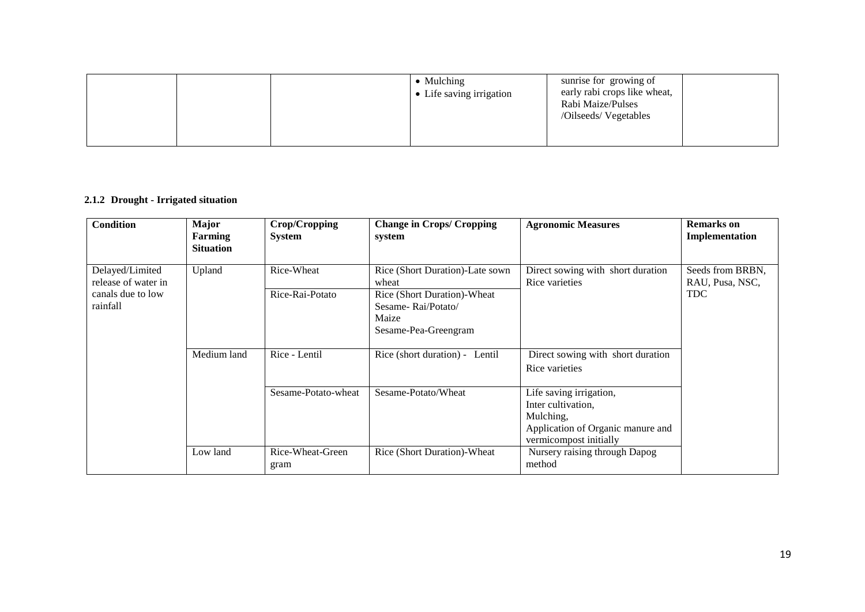|  | • Mulching<br>• Life saving irrigation | sunrise for growing of<br>early rabi crops like wheat,<br>Rabi Maize/Pulses<br>/Oilseeds/ Vegetables |  |
|--|----------------------------------------|------------------------------------------------------------------------------------------------------|--|
|  |                                        |                                                                                                      |  |

### **2.1.2 Drought - Irrigated situation**

| <b>Condition</b>                                                        | <b>Major</b><br>Farming<br><b>Situation</b> | Crop/Cropping<br><b>System</b> | <b>Change in Crops/ Cropping</b><br>system                                                                                     | <b>Agronomic Measures</b>                                                                                                 | <b>Remarks</b> on<br>Implementation               |
|-------------------------------------------------------------------------|---------------------------------------------|--------------------------------|--------------------------------------------------------------------------------------------------------------------------------|---------------------------------------------------------------------------------------------------------------------------|---------------------------------------------------|
| Delayed/Limited<br>release of water in<br>canals due to low<br>rainfall | Upland                                      | Rice-Wheat<br>Rice-Rai-Potato  | Rice (Short Duration)-Late sown<br>wheat<br>Rice (Short Duration)-Wheat<br>Sesame-Rai/Potato/<br>Maize<br>Sesame-Pea-Greengram | Direct sowing with short duration<br>Rice varieties                                                                       | Seeds from BRBN,<br>RAU, Pusa, NSC,<br><b>TDC</b> |
|                                                                         | Medium land                                 | Rice - Lentil                  | Rice (short duration) - Lentil                                                                                                 | Direct sowing with short duration<br>Rice varieties                                                                       |                                                   |
|                                                                         |                                             | Sesame-Potato-wheat            | Sesame-Potato/Wheat                                                                                                            | Life saving irrigation,<br>Inter cultivation,<br>Mulching,<br>Application of Organic manure and<br>vermicompost initially |                                                   |
|                                                                         | Low land                                    | Rice-Wheat-Green<br>gram       | Rice (Short Duration)-Wheat                                                                                                    | Nursery raising through Dapog<br>method                                                                                   |                                                   |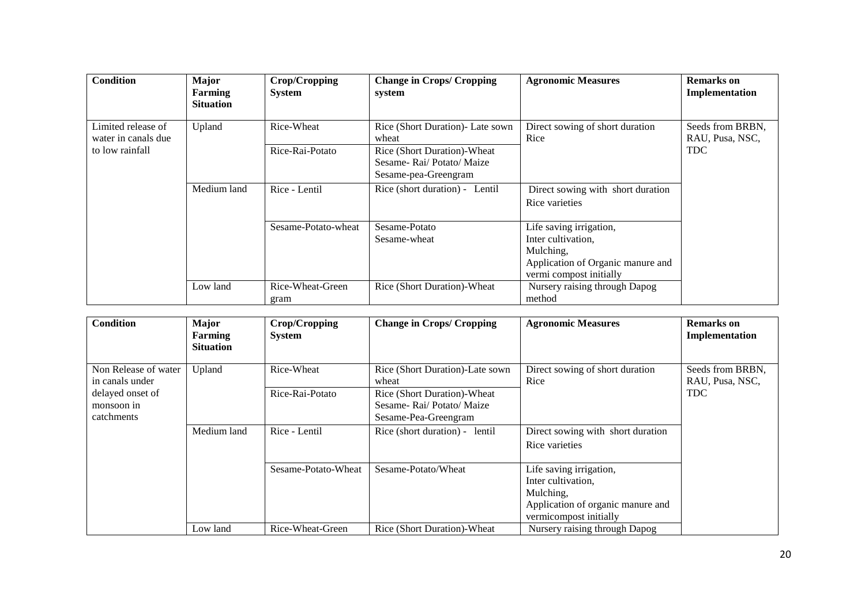| Condition                                 | <b>Major</b><br>Farming<br><b>Situation</b> | Crop/Cropping<br><b>System</b> | <b>Change in Crops/ Cropping</b><br>system                                     | <b>Agronomic Measures</b>                                                                                                  | <b>Remarks</b> on<br>Implementation |
|-------------------------------------------|---------------------------------------------|--------------------------------|--------------------------------------------------------------------------------|----------------------------------------------------------------------------------------------------------------------------|-------------------------------------|
| Limited release of<br>water in canals due | Upland                                      | Rice-Wheat                     | Rice (Short Duration)- Late sown<br>wheat                                      | Direct sowing of short duration<br>Rice                                                                                    | Seeds from BRBN,<br>RAU, Pusa, NSC, |
| to low rainfall                           |                                             | Rice-Rai-Potato                | Rice (Short Duration)-Wheat<br>Sesame-Rai/Potato/Maize<br>Sesame-pea-Greengram |                                                                                                                            | <b>TDC</b>                          |
|                                           | Medium land                                 | Rice - Lentil                  | Rice (short duration) - Lentil                                                 | Direct sowing with short duration<br>Rice varieties                                                                        |                                     |
|                                           |                                             | Sesame-Potato-wheat            | Sesame-Potato<br>Sesame-wheat                                                  | Life saving irrigation,<br>Inter cultivation.<br>Mulching,<br>Application of Organic manure and<br>vermi compost initially |                                     |
|                                           | Low land                                    | Rice-Wheat-Green<br>gram       | Rice (Short Duration)-Wheat                                                    | Nursery raising through Dapog<br>method                                                                                    |                                     |

| Condition                                    | <b>Major</b><br>Farming<br><b>Situation</b> | Crop/Cropping<br><b>System</b> | <b>Change in Crops/ Cropping</b>                                               | <b>Agronomic Measures</b>                                                                                                 | <b>Remarks</b> on<br>Implementation |
|----------------------------------------------|---------------------------------------------|--------------------------------|--------------------------------------------------------------------------------|---------------------------------------------------------------------------------------------------------------------------|-------------------------------------|
| Non Release of water<br>in canals under      | Upland                                      | Rice-Wheat                     | Rice (Short Duration)-Late sown<br>wheat                                       | Direct sowing of short duration<br>Rice                                                                                   | Seeds from BRBN,<br>RAU, Pusa, NSC, |
| delayed onset of<br>monsoon in<br>catchments |                                             | Rice-Rai-Potato                | Rice (Short Duration)-Wheat<br>Sesame-Raj/Potato/Maize<br>Sesame-Pea-Greengram |                                                                                                                           | <b>TDC</b>                          |
|                                              | Medium land                                 | Rice - Lentil                  | Rice (short duration) - lentil                                                 | Direct sowing with short duration<br>Rice varieties                                                                       |                                     |
|                                              |                                             | Sesame-Potato-Wheat            | Sesame-Potato/Wheat                                                            | Life saving irrigation,<br>Inter cultivation,<br>Mulching,<br>Application of organic manure and<br>vermicompost initially |                                     |
|                                              | Low land                                    | Rice-Wheat-Green               | Rice (Short Duration)-Wheat                                                    | Nursery raising through Dapog                                                                                             |                                     |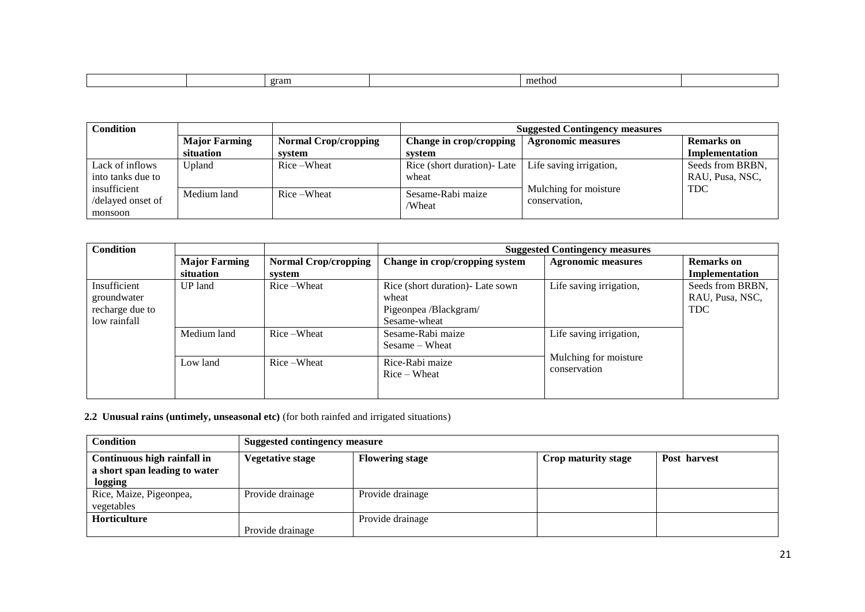| gram<br>method |  |  |  |
|----------------|--|--|--|
|                |  |  |  |

| Condition                                    |                      |                             | <b>Suggested Contingency measures</b> |                                        |                                     |  |
|----------------------------------------------|----------------------|-----------------------------|---------------------------------------|----------------------------------------|-------------------------------------|--|
|                                              | <b>Major Farming</b> | <b>Normal Crop/cropping</b> | Change in crop/cropping               | <b>Agronomic measures</b>              | <b>Remarks</b> on                   |  |
|                                              | situation            | system                      | system                                |                                        | Implementation                      |  |
| Lack of inflows<br>into tanks due to         | Upland               | Rice-Wheat                  | Rice (short duration) - Late<br>wheat | Life saving irrigation,                | Seeds from BRBN,<br>RAU, Pusa, NSC, |  |
| insufficient<br>/delayed onset of<br>monsoon | Medium land          | Rice-Wheat                  | Sesame-Rabi maize<br>/Wheat           | Mulching for moisture<br>conservation. | <b>TDC</b>                          |  |

| <b>Condition</b> |                      |                             | <b>Suggested Contingency measures</b> |                           |                   |  |
|------------------|----------------------|-----------------------------|---------------------------------------|---------------------------|-------------------|--|
|                  | <b>Major Farming</b> | <b>Normal Crop/cropping</b> | Change in crop/cropping system        | <b>Agronomic measures</b> | <b>Remarks</b> on |  |
|                  | situation            | system                      |                                       |                           | Implementation    |  |
| Insufficient     | <b>UP</b> land       | Rice-Wheat                  | Rice (short duration) - Late sown     | Life saving irrigation,   | Seeds from BRBN.  |  |
| groundwater      |                      |                             | wheat                                 |                           | RAU, Pusa, NSC,   |  |
| recharge due to  |                      |                             | Pigeonpea /Blackgram/                 |                           | <b>TDC</b>        |  |
| low rainfall     |                      |                             | Sesame-wheat                          |                           |                   |  |
|                  | Medium land          | Rice-Wheat                  | Sesame-Rabi maize                     | Life saving irrigation,   |                   |  |
|                  |                      |                             | $Sesame - Wheat$                      |                           |                   |  |
|                  | Low land             | Rice-Wheat                  | Rice-Rabi maize                       | Mulching for moisture     |                   |  |
|                  |                      |                             | $Rice - Wheat$                        | conservation              |                   |  |
|                  |                      |                             |                                       |                           |                   |  |
|                  |                      |                             |                                       |                           |                   |  |

 **2.2 Unusual rains (untimely, unseasonal etc)** (for both rainfed and irrigated situations)

| <b>Condition</b>                                                        | <b>Suggested contingency measure</b> |                        |                     |              |  |
|-------------------------------------------------------------------------|--------------------------------------|------------------------|---------------------|--------------|--|
| Continuous high rainfall in<br>a short span leading to water<br>logging | <b>Vegetative stage</b>              | <b>Flowering stage</b> | Crop maturity stage | Post harvest |  |
| Rice, Maize, Pigeonpea,<br>vegetables                                   | Provide drainage                     | Provide drainage       |                     |              |  |
| <b>Horticulture</b>                                                     | Provide drainage                     | Provide drainage       |                     |              |  |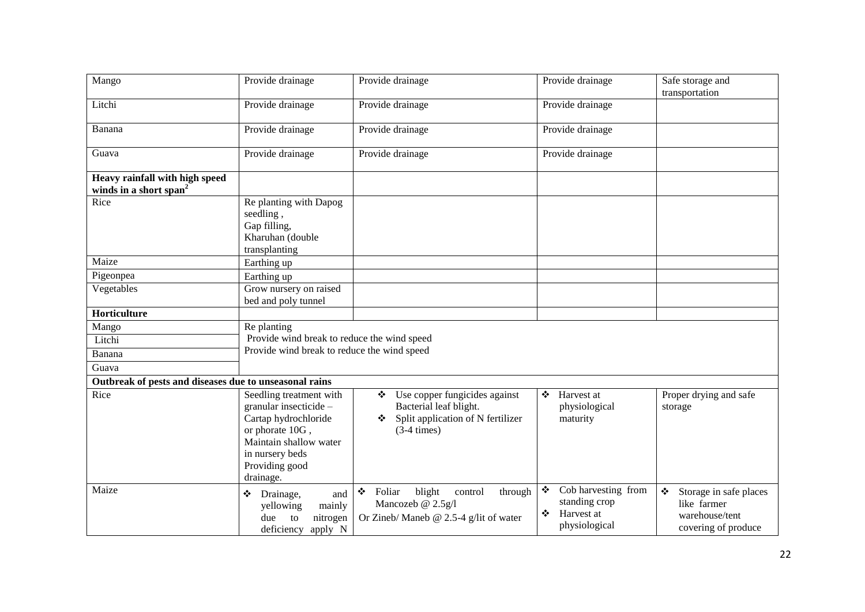| Mango                                                                | Provide drainage                                                                                                                                                         | Provide drainage                                                                                                              | Provide drainage                                                              | Safe storage and<br>transportation                                                                              |
|----------------------------------------------------------------------|--------------------------------------------------------------------------------------------------------------------------------------------------------------------------|-------------------------------------------------------------------------------------------------------------------------------|-------------------------------------------------------------------------------|-----------------------------------------------------------------------------------------------------------------|
| Litchi                                                               | Provide drainage                                                                                                                                                         | Provide drainage                                                                                                              | Provide drainage                                                              |                                                                                                                 |
| Banana                                                               | Provide drainage                                                                                                                                                         | Provide drainage                                                                                                              | Provide drainage                                                              |                                                                                                                 |
| Guava                                                                | Provide drainage                                                                                                                                                         | Provide drainage                                                                                                              | Provide drainage                                                              |                                                                                                                 |
| Heavy rainfall with high speed<br>winds in a short span <sup>2</sup> |                                                                                                                                                                          |                                                                                                                               |                                                                               |                                                                                                                 |
| Rice                                                                 | Re planting with Dapog<br>seedling,<br>Gap filling,<br>Kharuhan (double<br>transplanting                                                                                 |                                                                                                                               |                                                                               |                                                                                                                 |
| Maize                                                                | Earthing up                                                                                                                                                              |                                                                                                                               |                                                                               |                                                                                                                 |
| Pigeonpea                                                            | Earthing up                                                                                                                                                              |                                                                                                                               |                                                                               |                                                                                                                 |
| Vegetables                                                           | Grow nursery on raised<br>bed and poly tunnel                                                                                                                            |                                                                                                                               |                                                                               |                                                                                                                 |
| Horticulture                                                         |                                                                                                                                                                          |                                                                                                                               |                                                                               |                                                                                                                 |
| Mango                                                                | Re planting                                                                                                                                                              |                                                                                                                               |                                                                               |                                                                                                                 |
| Litchi                                                               | Provide wind break to reduce the wind speed                                                                                                                              |                                                                                                                               |                                                                               |                                                                                                                 |
| Banana                                                               | Provide wind break to reduce the wind speed                                                                                                                              |                                                                                                                               |                                                                               |                                                                                                                 |
| Guava                                                                |                                                                                                                                                                          |                                                                                                                               |                                                                               |                                                                                                                 |
| Outbreak of pests and diseases due to unseasonal rains               |                                                                                                                                                                          |                                                                                                                               |                                                                               |                                                                                                                 |
| Rice                                                                 | Seedling treatment with<br>granular insecticide -<br>Cartap hydrochloride<br>or phorate 10G,<br>Maintain shallow water<br>in nursery beds<br>Providing good<br>drainage. | $\bullet$ Use copper fungicides against<br>Bacterial leaf blight.<br>Split application of N fertilizer<br>❖<br>$(3-4 \times)$ | Harvest at<br>❖<br>physiological<br>maturity                                  | Proper drying and safe<br>storage                                                                               |
| Maize                                                                | Drainage,<br>❖<br>and<br>yellowing<br>mainly<br>nitrogen<br>due<br>to<br>deficiency apply N                                                                              | ❖<br>blight<br>through<br>Foliar<br>control<br>Mancozeb @ 2.5g/l<br>Or Zineb/ Maneb $@$ 2.5-4 g/lit of water                  | Cob harvesting from<br>❖<br>standing crop<br>Harvest at<br>❖<br>physiological | $\bullet^{\bullet}_{\bullet}$<br>Storage in safe places<br>like farmer<br>warehouse/tent<br>covering of produce |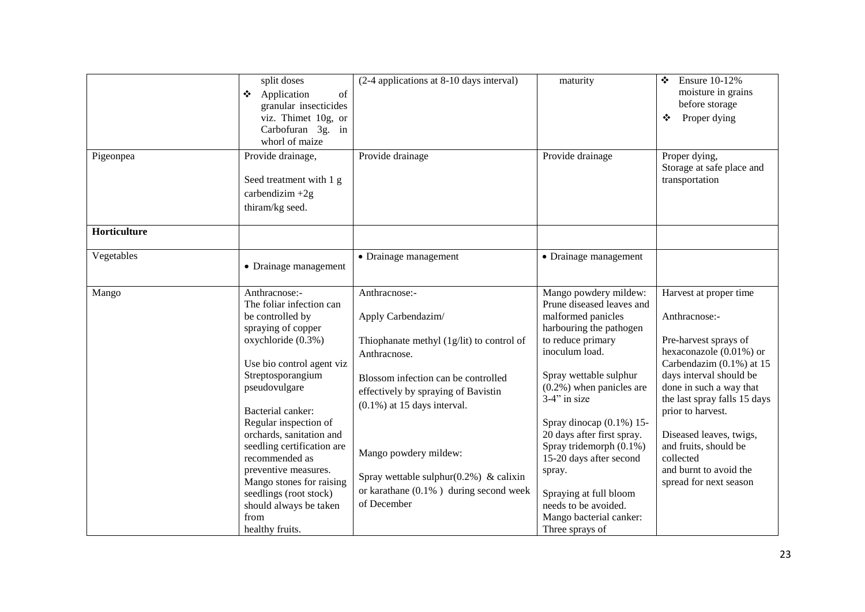|              | split doses                                            | (2-4 applications at 8-10 days interval)    | maturity                                              | <b>Ensure 10-12%</b><br>❖                        |
|--------------|--------------------------------------------------------|---------------------------------------------|-------------------------------------------------------|--------------------------------------------------|
|              | Application<br>of<br>❖                                 |                                             |                                                       | moisture in grains                               |
|              | granular insecticides                                  |                                             |                                                       | before storage                                   |
|              | viz. Thimet 10g, or                                    |                                             |                                                       | Proper dying<br>❖                                |
|              | Carbofuran 3g. in                                      |                                             |                                                       |                                                  |
|              | whorl of maize                                         |                                             |                                                       |                                                  |
| Pigeonpea    | Provide drainage,                                      | Provide drainage                            | Provide drainage                                      | Proper dying,<br>Storage at safe place and       |
|              | Seed treatment with 1 g                                |                                             |                                                       | transportation                                   |
|              | carbendizim $+2g$                                      |                                             |                                                       |                                                  |
|              | thiram/kg seed.                                        |                                             |                                                       |                                                  |
| Horticulture |                                                        |                                             |                                                       |                                                  |
| Vegetables   |                                                        | • Drainage management                       | • Drainage management                                 |                                                  |
|              | • Drainage management                                  |                                             |                                                       |                                                  |
| Mango        | Anthracnose:-                                          | Anthracnose:-                               | Mango powdery mildew:                                 | Harvest at proper time                           |
|              | The foliar infection can                               |                                             | Prune diseased leaves and                             |                                                  |
|              | be controlled by                                       | Apply Carbendazim/                          | malformed panicles                                    | Anthracnose:-                                    |
|              | spraying of copper                                     |                                             | harbouring the pathogen                               |                                                  |
|              | oxychloride (0.3%)                                     | Thiophanate methyl (1g/lit) to control of   | to reduce primary                                     | Pre-harvest sprays of                            |
|              |                                                        | Anthracnose.                                | inoculum load.                                        | hexaconazole (0.01%) or                          |
|              | Use bio control agent viz                              |                                             |                                                       | Carbendazim $(0.1\%)$ at 15                      |
|              | Streptosporangium                                      | Blossom infection can be controlled         | Spray wettable sulphur                                | days interval should be                          |
|              | pseudovulgare                                          | effectively by spraying of Bavistin         | $(0.2\%)$ when panicles are                           | done in such a way that                          |
|              |                                                        | $(0.1\%)$ at 15 days interval.              | $3-4$ " in size                                       | the last spray falls 15 days                     |
|              | Bacterial canker:                                      |                                             |                                                       | prior to harvest.                                |
|              | Regular inspection of                                  |                                             | Spray dinocap $(0.1\%)$ 15-                           |                                                  |
|              | orchards, sanitation and<br>seedling certification are |                                             | 20 days after first spray.<br>Spray tridemorph (0.1%) | Diseased leaves, twigs,<br>and fruits, should be |
|              | recommended as                                         | Mango powdery mildew:                       | 15-20 days after second                               | collected                                        |
|              | preventive measures.                                   | Spray wettable sulphur( $0.2\%$ ) & calixin | spray.                                                | and burnt to avoid the                           |
|              | Mango stones for raising                               | or karathane $(0.1\%$ ) during second week  |                                                       | spread for next season                           |
|              | seedlings (root stock)                                 |                                             | Spraying at full bloom                                |                                                  |
|              | should always be taken                                 | of December                                 | needs to be avoided.                                  |                                                  |
|              | from                                                   |                                             | Mango bacterial canker:                               |                                                  |
|              | healthy fruits.                                        |                                             | Three sprays of                                       |                                                  |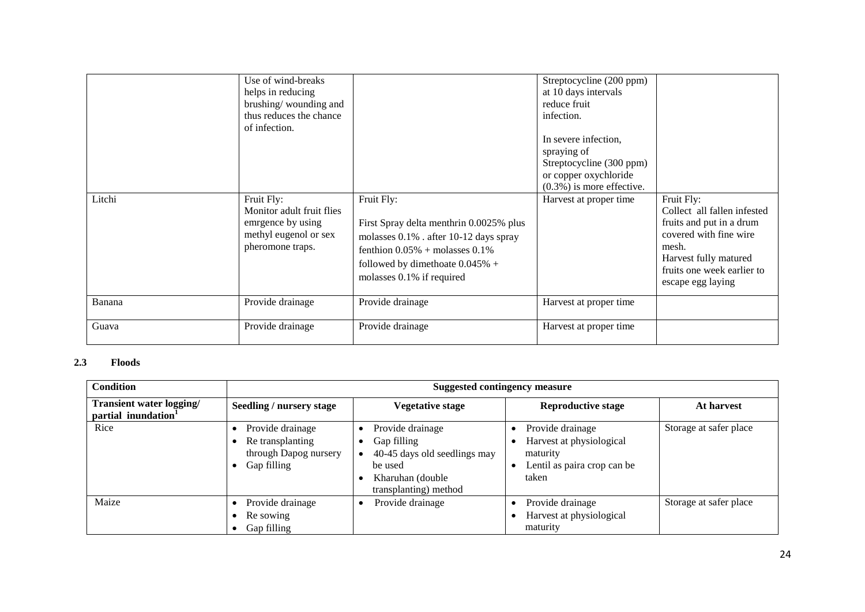| Litchi | Use of wind-breaks<br>helps in reducing<br>brushing/wounding and<br>thus reduces the chance<br>of infection.<br>Fruit Fly:<br>Monitor adult fruit flies<br>emrgence by using<br>methyl eugenol or sex<br>pheromone traps. | Fruit Fly:<br>First Spray delta menthrin 0.0025% plus<br>molasses 0.1% . after 10-12 days spray<br>fenthion $0.05\%$ + molasses $0.1\%$ | Streptocycline (200 ppm)<br>at 10 days intervals<br>reduce fruit<br>infection.<br>In severe infection,<br>spraying of<br>Streptocycline (300 ppm)<br>or copper oxychloride<br>$(0.3\%)$ is more effective.<br>Harvest at proper time | Fruit Fly:<br>Collect all fallen infested<br>fruits and put in a drum<br>covered with fine wire<br>mesh.<br>Harvest fully matured |
|--------|---------------------------------------------------------------------------------------------------------------------------------------------------------------------------------------------------------------------------|-----------------------------------------------------------------------------------------------------------------------------------------|--------------------------------------------------------------------------------------------------------------------------------------------------------------------------------------------------------------------------------------|-----------------------------------------------------------------------------------------------------------------------------------|
|        |                                                                                                                                                                                                                           | followed by dimethoate $0.045%$ +<br>molasses 0.1% if required                                                                          |                                                                                                                                                                                                                                      | fruits one week earlier to<br>escape egg laying                                                                                   |
| Banana | Provide drainage                                                                                                                                                                                                          | Provide drainage                                                                                                                        | Harvest at proper time                                                                                                                                                                                                               |                                                                                                                                   |
| Guava  | Provide drainage                                                                                                                                                                                                          | Provide drainage                                                                                                                        | Harvest at proper time                                                                                                                                                                                                               |                                                                                                                                   |

#### **2.3 2.3 Floods**

| <b>Condition</b>                               | <b>Suggested contingency measure</b>                                         |                                                                                                                         |                                                                                                  |                        |  |  |
|------------------------------------------------|------------------------------------------------------------------------------|-------------------------------------------------------------------------------------------------------------------------|--------------------------------------------------------------------------------------------------|------------------------|--|--|
| Transient water logging/<br>partial inundation | Seedling / nursery stage                                                     | <b>Vegetative stage</b>                                                                                                 | <b>Reproductive stage</b>                                                                        | At harvest             |  |  |
| Rice                                           | Provide drainage<br>Re transplanting<br>through Dapog nursery<br>Gap filling | Provide drainage<br>Gap filling<br>40-45 days old seedlings may<br>be used<br>Kharuhan (double<br>transplanting) method | Provide drainage<br>Harvest at physiological<br>maturity<br>Lentil as paira crop can be<br>taken | Storage at safer place |  |  |
| Maize                                          | Provide drainage<br>Re sowing<br>Gap filling                                 | Provide drainage                                                                                                        | Provide drainage<br>Harvest at physiological<br>maturity                                         | Storage at safer place |  |  |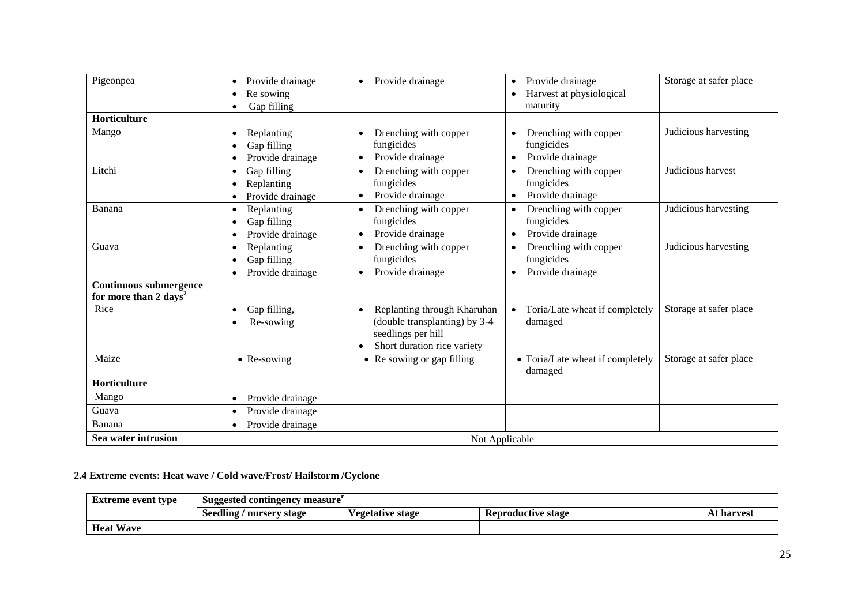| Pigeonpea                         | Provide drainage<br>$\bullet$<br>Re sowing    | Provide drainage<br>$\bullet$                                                                                                  | Provide drainage<br>$\bullet$<br>Harvest at physiological                         | Storage at safer place |  |  |
|-----------------------------------|-----------------------------------------------|--------------------------------------------------------------------------------------------------------------------------------|-----------------------------------------------------------------------------------|------------------------|--|--|
|                                   | Gap filling                                   |                                                                                                                                | maturity                                                                          |                        |  |  |
| Horticulture                      |                                               |                                                                                                                                |                                                                                   |                        |  |  |
| Mango                             | Replanting<br>Gap filling<br>Provide drainage | Drenching with copper<br>fungicides<br>Provide drainage                                                                        | Drenching with copper<br>fungicides<br>Provide drainage                           | Judicious harvesting   |  |  |
| Litchi                            | Gap filling<br>Replanting<br>Provide drainage | Drenching with copper<br>$\bullet$<br>fungicides<br>Provide drainage<br>$\bullet$                                              | Drenching with copper<br>fungicides<br>Provide drainage<br>$\bullet$              | Judicious harvest      |  |  |
| Banana                            | Replanting<br>Gap filling<br>Provide drainage | Drenching with copper<br>$\bullet$<br>fungicides<br>Provide drainage<br>$\bullet$                                              | Drenching with copper<br>$\bullet$<br>fungicides<br>Provide drainage<br>$\bullet$ | Judicious harvesting   |  |  |
| Guava                             | Replanting<br>Gap filling<br>Provide drainage | Drenching with copper<br>fungicides<br>Provide drainage<br>$\bullet$                                                           | Drenching with copper<br>$\bullet$<br>fungicides<br>Provide drainage<br>$\bullet$ | Judicious harvesting   |  |  |
| Continuous submergence            |                                               |                                                                                                                                |                                                                                   |                        |  |  |
| for more than 2 days <sup>2</sup> |                                               |                                                                                                                                |                                                                                   |                        |  |  |
| Rice                              | Gap filling,<br>$\bullet$<br>Re-sowing        | Replanting through Kharuhan<br>$\bullet$<br>(double transplanting) by 3-4<br>seedlings per hill<br>Short duration rice variety | • Toria/Late wheat if completely<br>damaged                                       | Storage at safer place |  |  |
| Maize                             | • Re-sowing                                   | • Re sowing or gap filling                                                                                                     | • Toria/Late wheat if completely<br>damaged                                       | Storage at safer place |  |  |
| Horticulture                      |                                               |                                                                                                                                |                                                                                   |                        |  |  |
| Mango                             | Provide drainage                              |                                                                                                                                |                                                                                   |                        |  |  |
| Guava                             | Provide drainage                              |                                                                                                                                |                                                                                   |                        |  |  |
| Banana                            | Provide drainage                              |                                                                                                                                |                                                                                   |                        |  |  |
| Sea water intrusion               | Not Applicable                                |                                                                                                                                |                                                                                   |                        |  |  |

## **2.4 Extreme events: Heat wave / Cold wave/Frost/ Hailstorm /Cyclone**

| Extreme event type | Suggested contingency measure |                  |                    |            |  |  |
|--------------------|-------------------------------|------------------|--------------------|------------|--|--|
|                    | Seedling / nursery stage      | √egetative stage | Reproductive stage | At harvest |  |  |
| <b>Heat Wave</b>   |                               |                  |                    |            |  |  |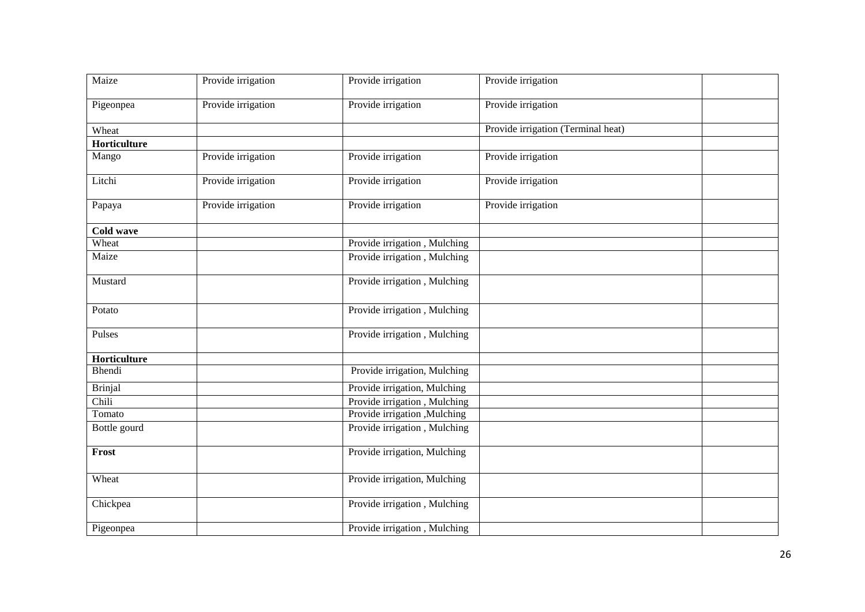| Maize          | Provide irrigation | Provide irrigation            | Provide irrigation                 |  |
|----------------|--------------------|-------------------------------|------------------------------------|--|
| Pigeonpea      | Provide irrigation | Provide irrigation            | Provide irrigation                 |  |
| Wheat          |                    |                               | Provide irrigation (Terminal heat) |  |
| Horticulture   |                    |                               |                                    |  |
| Mango          | Provide irrigation | Provide irrigation            | Provide irrigation                 |  |
| Litchi         | Provide irrigation | Provide irrigation            | Provide irrigation                 |  |
| Papaya         | Provide irrigation | Provide irrigation            | Provide irrigation                 |  |
| Cold wave      |                    |                               |                                    |  |
| Wheat          |                    | Provide irrigation, Mulching  |                                    |  |
| Maize          |                    | Provide irrigation, Mulching  |                                    |  |
| Mustard        |                    | Provide irrigation, Mulching  |                                    |  |
| Potato         |                    | Provide irrigation, Mulching  |                                    |  |
| Pulses         |                    | Provide irrigation, Mulching  |                                    |  |
| Horticulture   |                    |                               |                                    |  |
| Bhendi         |                    | Provide irrigation, Mulching  |                                    |  |
| <b>Brinjal</b> |                    | Provide irrigation, Mulching  |                                    |  |
| Chili          |                    | Provide irrigation, Mulching  |                                    |  |
| Tomato         |                    | Provide irrigation , Mulching |                                    |  |
| Bottle gourd   |                    | Provide irrigation, Mulching  |                                    |  |
| Frost          |                    | Provide irrigation, Mulching  |                                    |  |
| Wheat          |                    | Provide irrigation, Mulching  |                                    |  |
| Chickpea       |                    | Provide irrigation, Mulching  |                                    |  |
| Pigeonpea      |                    | Provide irrigation, Mulching  |                                    |  |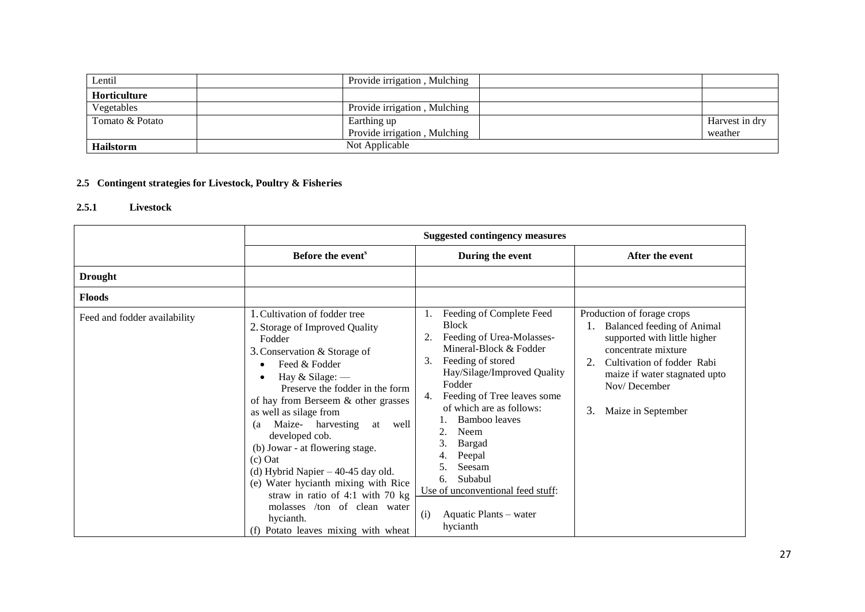| Lentil              | Provide irrigation, Mulching |                |
|---------------------|------------------------------|----------------|
| <b>Horticulture</b> |                              |                |
| Vegetables          | Provide irrigation, Mulching |                |
| Tomato & Potato     | Earthing up                  | Harvest in dry |
|                     | Provide irrigation, Mulching | weather        |
| <b>Hailstorm</b>    | Not Applicable               |                |

# **2.5 Contingent strategies for Livestock, Poultry & Fisheries**

### **2.5.1 Livestock**

|                              | <b>Suggested contingency measures</b>                                                                                                                                                                                                                                                                                                                                                                                                                                                                                                                                |                                                                                                                                                                                                                                                                                                                                                                                                                        |                                                                                                                                                                                                                                   |
|------------------------------|----------------------------------------------------------------------------------------------------------------------------------------------------------------------------------------------------------------------------------------------------------------------------------------------------------------------------------------------------------------------------------------------------------------------------------------------------------------------------------------------------------------------------------------------------------------------|------------------------------------------------------------------------------------------------------------------------------------------------------------------------------------------------------------------------------------------------------------------------------------------------------------------------------------------------------------------------------------------------------------------------|-----------------------------------------------------------------------------------------------------------------------------------------------------------------------------------------------------------------------------------|
|                              | Before the event <sup>s</sup>                                                                                                                                                                                                                                                                                                                                                                                                                                                                                                                                        | During the event                                                                                                                                                                                                                                                                                                                                                                                                       | After the event                                                                                                                                                                                                                   |
| <b>Drought</b>               |                                                                                                                                                                                                                                                                                                                                                                                                                                                                                                                                                                      |                                                                                                                                                                                                                                                                                                                                                                                                                        |                                                                                                                                                                                                                                   |
| <b>Floods</b>                |                                                                                                                                                                                                                                                                                                                                                                                                                                                                                                                                                                      |                                                                                                                                                                                                                                                                                                                                                                                                                        |                                                                                                                                                                                                                                   |
| Feed and fodder availability | 1. Cultivation of fodder tree<br>2. Storage of Improved Quality<br>Fodder<br>3. Conservation & Storage of<br>Feed & Fodder<br>Hay & Silage: -<br>Preserve the fodder in the form<br>of hay from Berseem & other grasses<br>as well as silage from<br>Maize- harvesting<br>at<br>well<br>(a<br>developed cob.<br>(b) Jowar - at flowering stage.<br>$(c)$ Oat<br>(d) Hybrid Napier $-40-45$ day old.<br>(e) Water hycianth mixing with Rice<br>straw in ratio of 4:1 with 70 $kg$<br>molasses /ton of clean water<br>hycianth.<br>(f) Potato leaves mixing with wheat | Feeding of Complete Feed<br>1.<br><b>Block</b><br>Feeding of Urea-Molasses-<br>Mineral-Block & Fodder<br>Feeding of stored<br>3.<br>Hay/Silage/Improved Quality<br>Fodder<br>Feeding of Tree leaves some<br>4.<br>of which are as follows:<br>Bamboo leaves<br>2.<br>Neem<br>3.<br>Bargad<br>Peepal<br>Seesam<br>5.<br>Subabul<br>6.<br>Use of unconventional feed stuff:<br>Aquatic Plants – water<br>(i)<br>hycianth | Production of forage crops<br><b>Balanced feeding of Animal</b><br>supported with little higher<br>concentrate mixture<br>Cultivation of fodder Rabi<br>maize if water stagnated upto<br>Nov/December<br>3.<br>Maize in September |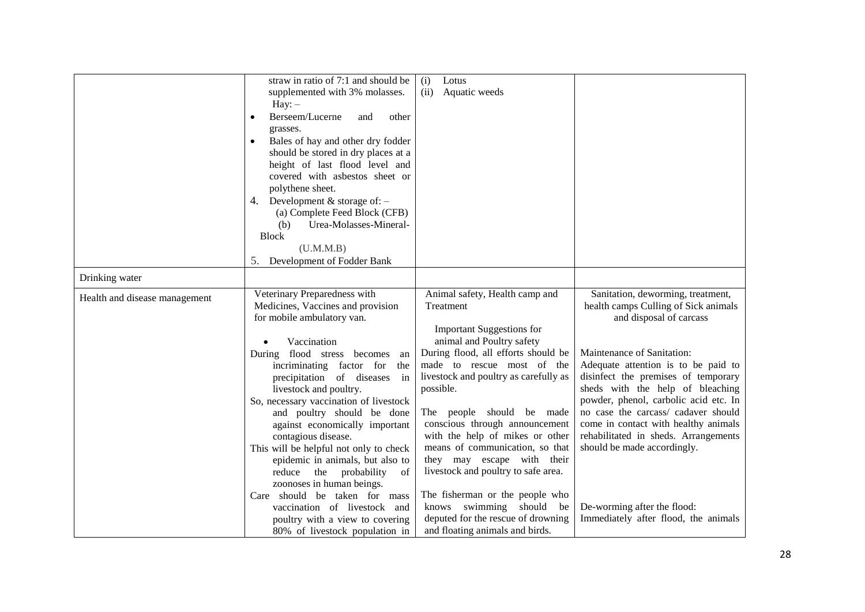|                               | straw in ratio of 7:1 and should be            | (i)<br>Lotus                          |                                       |
|-------------------------------|------------------------------------------------|---------------------------------------|---------------------------------------|
|                               | supplemented with 3% molasses.                 | Aquatic weeds<br>(ii)                 |                                       |
|                               | $\text{Hay:} -$                                |                                       |                                       |
|                               |                                                |                                       |                                       |
|                               | Berseem/Lucerne<br>other<br>and<br>$\bullet$   |                                       |                                       |
|                               | grasses.                                       |                                       |                                       |
|                               | Bales of hay and other dry fodder<br>$\bullet$ |                                       |                                       |
|                               | should be stored in dry places at a            |                                       |                                       |
|                               | height of last flood level and                 |                                       |                                       |
|                               | covered with asbestos sheet or                 |                                       |                                       |
|                               | polythene sheet.                               |                                       |                                       |
|                               | 4. Development $&$ storage of: $-$             |                                       |                                       |
|                               | (a) Complete Feed Block (CFB)                  |                                       |                                       |
|                               | Urea-Molasses-Mineral-<br>(b)                  |                                       |                                       |
|                               | <b>Block</b>                                   |                                       |                                       |
|                               | (U.M.M.B)                                      |                                       |                                       |
|                               | Development of Fodder Bank<br>5.               |                                       |                                       |
| Drinking water                |                                                |                                       |                                       |
| Health and disease management | Veterinary Preparedness with                   | Animal safety, Health camp and        | Sanitation, deworming, treatment,     |
|                               | Medicines, Vaccines and provision              | Treatment                             | health camps Culling of Sick animals  |
|                               | for mobile ambulatory van.                     |                                       | and disposal of carcass               |
|                               |                                                | <b>Important Suggestions for</b>      |                                       |
|                               | Vaccination                                    | animal and Poultry safety             |                                       |
|                               | flood stress becomes<br>During<br>an           | During flood, all efforts should be   | Maintenance of Sanitation:            |
|                               | incriminating factor for<br>the                | made to rescue most of the            | Adequate attention is to be paid to   |
|                               | precipitation of diseases<br>in                | livestock and poultry as carefully as | disinfect the premises of temporary   |
|                               | livestock and poultry.                         | possible.                             | sheds with the help of bleaching      |
|                               | So, necessary vaccination of livestock         |                                       | powder, phenol, carbolic acid etc. In |
|                               | and poultry should be done                     | The people should be made             | no case the carcass/ cadaver should   |
|                               | against economically important                 | conscious through announcement        | come in contact with healthy animals  |
|                               | contagious disease.                            | with the help of mikes or other       | rehabilitated in sheds. Arrangements  |
|                               | This will be helpful not only to check         | means of communication, so that       | should be made accordingly.           |
|                               | epidemic in animals, but also to               | they may escape with their            |                                       |
|                               | the<br>probability<br>reduce<br>of             | livestock and poultry to safe area.   |                                       |
|                               | zoonoses in human beings.                      |                                       |                                       |
|                               | Care should be taken for mass                  | The fisherman or the people who       |                                       |
|                               | vaccination of livestock and                   | knows swimming should be              | De-worming after the flood:           |
|                               | poultry with a view to covering                | deputed for the rescue of drowning    | Immediately after flood, the animals  |
|                               | 80% of livestock population in                 | and floating animals and birds.       |                                       |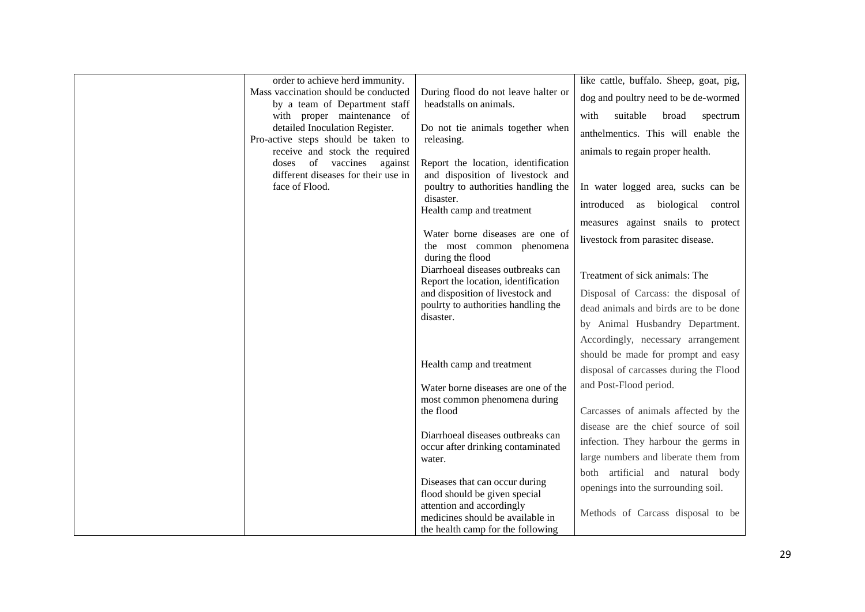| order to achieve herd immunity.                                       |                                                                          | like cattle, buffalo. Sheep, goat, pig, |
|-----------------------------------------------------------------------|--------------------------------------------------------------------------|-----------------------------------------|
| Mass vaccination should be conducted<br>by a team of Department staff | During flood do not leave halter or<br>headstalls on animals.            | dog and poultry need to be de-wormed    |
| with proper maintenance of                                            |                                                                          | suitable<br>with<br>broad<br>spectrum   |
| detailed Inoculation Register.<br>Pro-active steps should be taken to | Do not tie animals together when<br>releasing.                           | anthelmentics. This will enable the     |
| receive and stock the required                                        |                                                                          | animals to regain proper health.        |
| doses of vaccines<br>against                                          | Report the location, identification                                      |                                         |
| different diseases for their use in                                   | and disposition of livestock and                                         |                                         |
| face of Flood.                                                        | poultry to authorities handling the<br>disaster.                         | In water logged area, sucks can be      |
|                                                                       | Health camp and treatment                                                | biological<br>introduced as<br>control  |
|                                                                       |                                                                          | measures against snails to protect      |
|                                                                       | Water borne diseases are one of<br>the most common phenomena             | livestock from parasitec disease.       |
|                                                                       | during the flood                                                         |                                         |
|                                                                       | Diarrhoeal diseases outbreaks can<br>Report the location, identification | Treatment of sick animals: The          |
|                                                                       | and disposition of livestock and                                         | Disposal of Carcass: the disposal of    |
|                                                                       | poulrty to authorities handling the<br>disaster.                         | dead animals and birds are to be done   |
|                                                                       |                                                                          | by Animal Husbandry Department.         |
|                                                                       |                                                                          | Accordingly, necessary arrangement      |
|                                                                       |                                                                          | should be made for prompt and easy      |
|                                                                       | Health camp and treatment                                                | disposal of carcasses during the Flood  |
|                                                                       | Water borne diseases are one of the                                      | and Post-Flood period.                  |
|                                                                       | most common phenomena during                                             |                                         |
|                                                                       | the flood                                                                | Carcasses of animals affected by the    |
|                                                                       | Diarrhoeal diseases outbreaks can                                        | disease are the chief source of soil    |
|                                                                       | occur after drinking contaminated                                        | infection. They harbour the germs in    |
|                                                                       | water.                                                                   | large numbers and liberate them from    |
|                                                                       |                                                                          | both artificial and natural body        |
|                                                                       | Diseases that can occur during<br>flood should be given special          | openings into the surrounding soil.     |
|                                                                       | attention and accordingly                                                |                                         |
|                                                                       | medicines should be available in                                         | Methods of Carcass disposal to be       |
|                                                                       | the health camp for the following                                        |                                         |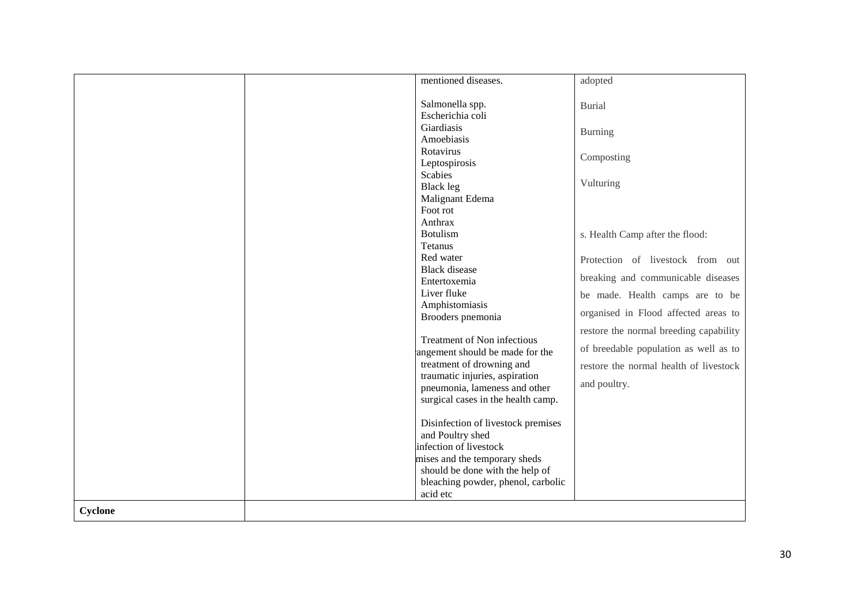|         | mentioned diseases.                                                               | adopted                                |
|---------|-----------------------------------------------------------------------------------|----------------------------------------|
|         | Salmonella spp.<br>Escherichia coli                                               | <b>Burial</b>                          |
|         | Giardiasis<br>Amoebiasis                                                          | <b>Burning</b>                         |
|         | Rotavirus<br>Leptospirosis                                                        | Composting                             |
|         | <b>Scabies</b><br>Black leg                                                       | Vulturing                              |
|         | Malignant Edema<br>Foot rot<br>Anthrax                                            |                                        |
|         | <b>Botulism</b><br><b>Tetanus</b>                                                 | s. Health Camp after the flood:        |
|         | Red water<br><b>Black</b> disease                                                 | Protection of livestock from out       |
|         | Entertoxemia                                                                      | breaking and communicable diseases     |
|         | Liver fluke<br>Amphistomiasis                                                     | be made. Health camps are to be        |
|         | Brooders pnemonia                                                                 | organised in Flood affected areas to   |
|         | Treatment of Non infectious                                                       | restore the normal breeding capability |
|         | angement should be made for the                                                   | of breedable population as well as to  |
|         | treatment of drowning and<br>traumatic injuries, aspiration                       | restore the normal health of livestock |
|         | pneumonia, lameness and other<br>surgical cases in the health camp.               | and poultry.                           |
|         | Disinfection of livestock premises                                                |                                        |
|         | and Poultry shed<br>infection of livestock                                        |                                        |
|         | mises and the temporary sheds                                                     |                                        |
|         | should be done with the help of<br>bleaching powder, phenol, carbolic<br>acid etc |                                        |
| Cyclone |                                                                                   |                                        |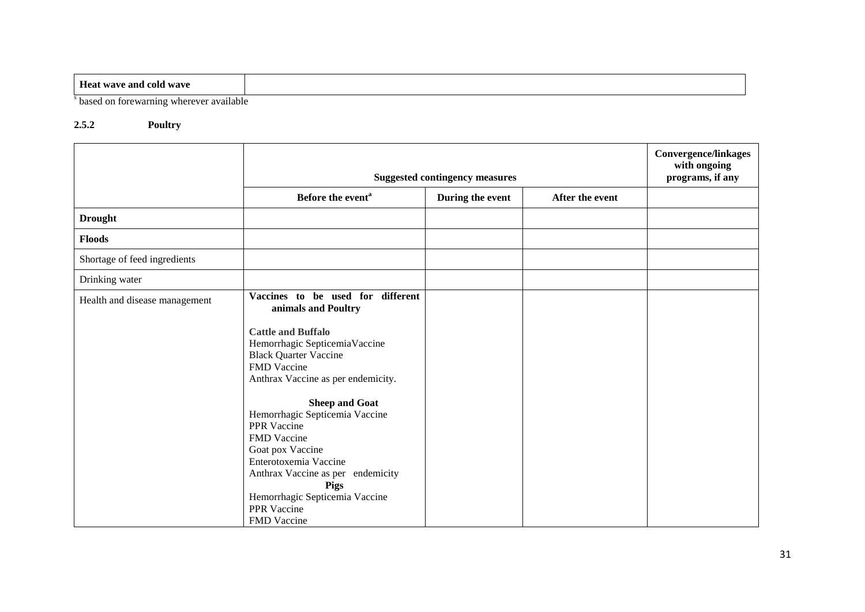| $-$<br><b>Heat wave and cold wave</b>      |  |
|--------------------------------------------|--|
| on forewarning wherever available<br>based |  |

## **2.5.2 Poultry**

|                               | <b>Suggested contingency measures</b>                                                                                                                                                                                                                  |                  |                 | <b>Convergence/linkages</b><br>with ongoing<br>programs, if any |
|-------------------------------|--------------------------------------------------------------------------------------------------------------------------------------------------------------------------------------------------------------------------------------------------------|------------------|-----------------|-----------------------------------------------------------------|
|                               | Before the event <sup>a</sup>                                                                                                                                                                                                                          | During the event | After the event |                                                                 |
| <b>Drought</b>                |                                                                                                                                                                                                                                                        |                  |                 |                                                                 |
| <b>Floods</b>                 |                                                                                                                                                                                                                                                        |                  |                 |                                                                 |
| Shortage of feed ingredients  |                                                                                                                                                                                                                                                        |                  |                 |                                                                 |
| Drinking water                |                                                                                                                                                                                                                                                        |                  |                 |                                                                 |
| Health and disease management | Vaccines to be used for different<br>animals and Poultry                                                                                                                                                                                               |                  |                 |                                                                 |
|                               | <b>Cattle and Buffalo</b><br>Hemorrhagic SepticemiaVaccine<br><b>Black Quarter Vaccine</b><br>FMD Vaccine<br>Anthrax Vaccine as per endemicity.                                                                                                        |                  |                 |                                                                 |
|                               | <b>Sheep and Goat</b><br>Hemorrhagic Septicemia Vaccine<br>PPR Vaccine<br>FMD Vaccine<br>Goat pox Vaccine<br>Enterotoxemia Vaccine<br>Anthrax Vaccine as per endemicity<br><b>Pigs</b><br>Hemorrhagic Septicemia Vaccine<br>PPR Vaccine<br>FMD Vaccine |                  |                 |                                                                 |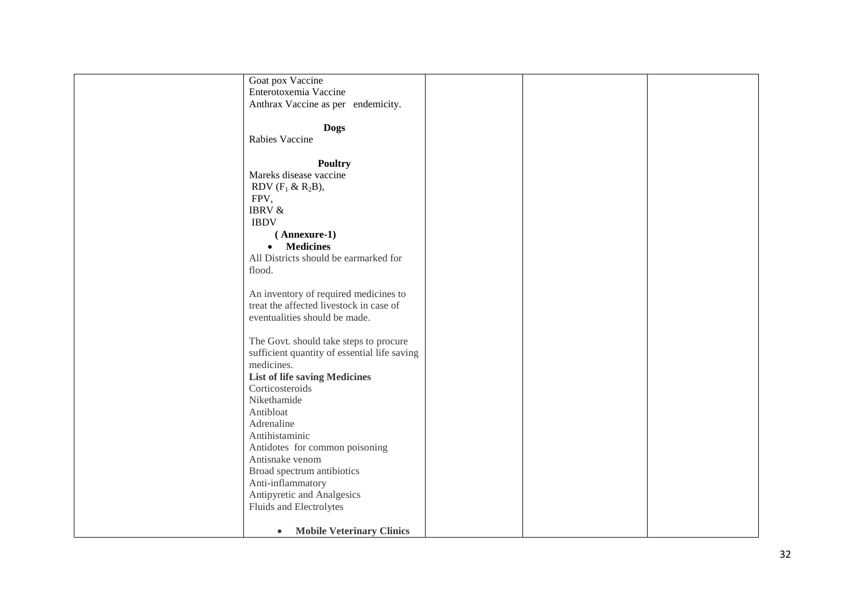| Goat pox Vaccine                              |  |  |
|-----------------------------------------------|--|--|
| Enterotoxemia Vaccine                         |  |  |
| Anthrax Vaccine as per endemicity.            |  |  |
|                                               |  |  |
|                                               |  |  |
| <b>Dogs</b>                                   |  |  |
| Rabies Vaccine                                |  |  |
|                                               |  |  |
| <b>Poultry</b>                                |  |  |
| Mareks disease vaccine                        |  |  |
|                                               |  |  |
| RDV $(F_1 \& R_2B)$ ,                         |  |  |
| FPV,                                          |  |  |
| <b>IBRV &amp;</b>                             |  |  |
| <b>IBDV</b>                                   |  |  |
| (Annexure-1)                                  |  |  |
| <b>Medicines</b><br>$\bullet$                 |  |  |
|                                               |  |  |
| All Districts should be earmarked for         |  |  |
| flood.                                        |  |  |
|                                               |  |  |
| An inventory of required medicines to         |  |  |
| treat the affected livestock in case of       |  |  |
|                                               |  |  |
| eventualities should be made.                 |  |  |
|                                               |  |  |
| The Govt. should take steps to procure        |  |  |
| sufficient quantity of essential life saving  |  |  |
| medicines.                                    |  |  |
| <b>List of life saving Medicines</b>          |  |  |
| Corticosteroids                               |  |  |
|                                               |  |  |
| Nikethamide                                   |  |  |
| Antibloat                                     |  |  |
| Adrenaline                                    |  |  |
| Antihistaminic                                |  |  |
| Antidotes for common poisoning                |  |  |
|                                               |  |  |
| Antisnake venom                               |  |  |
| Broad spectrum antibiotics                    |  |  |
| Anti-inflammatory                             |  |  |
| Antipyretic and Analgesics                    |  |  |
| Fluids and Electrolytes                       |  |  |
|                                               |  |  |
|                                               |  |  |
| <b>Mobile Veterinary Clinics</b><br>$\bullet$ |  |  |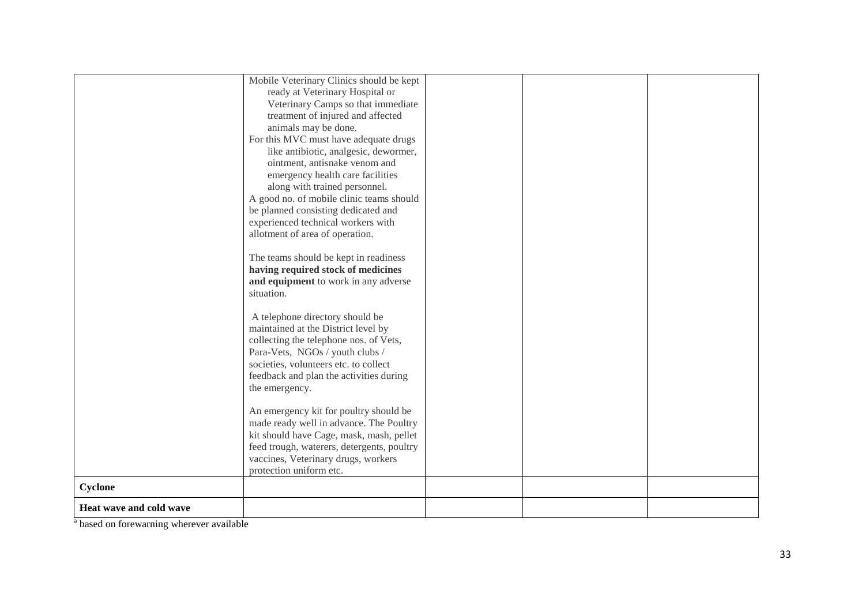|                         | Mobile Veterinary Clinics should be kept   |  |
|-------------------------|--------------------------------------------|--|
|                         | ready at Veterinary Hospital or            |  |
|                         | Veterinary Camps so that immediate         |  |
|                         | treatment of injured and affected          |  |
|                         | animals may be done.                       |  |
|                         | For this MVC must have adequate drugs      |  |
|                         | like antibiotic, analgesic, dewormer,      |  |
|                         | ointment, antisnake venom and              |  |
|                         | emergency health care facilities           |  |
|                         | along with trained personnel.              |  |
|                         | A good no. of mobile clinic teams should   |  |
|                         | be planned consisting dedicated and        |  |
|                         | experienced technical workers with         |  |
|                         | allotment of area of operation.            |  |
|                         |                                            |  |
|                         | The teams should be kept in readiness      |  |
|                         | having required stock of medicines         |  |
|                         | and equipment to work in any adverse       |  |
|                         | situation.                                 |  |
|                         |                                            |  |
|                         | A telephone directory should be            |  |
|                         | maintained at the District level by        |  |
|                         | collecting the telephone nos. of Vets,     |  |
|                         | Para-Vets, NGOs / youth clubs /            |  |
|                         | societies, volunteers etc. to collect      |  |
|                         | feedback and plan the activities during    |  |
|                         | the emergency.                             |  |
|                         |                                            |  |
|                         | An emergency kit for poultry should be     |  |
|                         | made ready well in advance. The Poultry    |  |
|                         | kit should have Cage, mask, mash, pellet   |  |
|                         | feed trough, waterers, detergents, poultry |  |
|                         | vaccines, Veterinary drugs, workers        |  |
|                         | protection uniform etc.                    |  |
| Cyclone                 |                                            |  |
| Heat wave and cold wave |                                            |  |
|                         |                                            |  |

<sup>a</sup> based on forewarning wherever available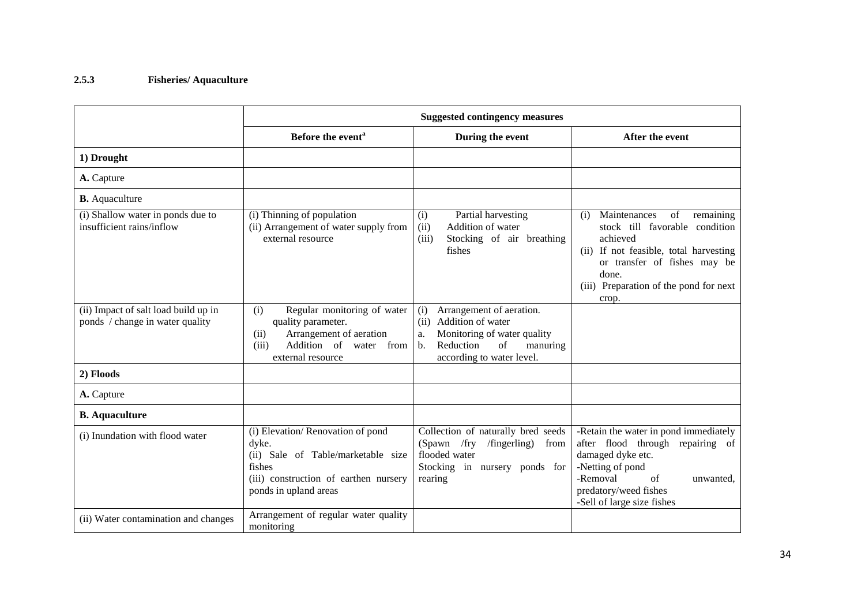# **2.5.3 Fisheries/ Aquaculture**

|                                                                         |                                                                                                                                                                                                     | <b>Suggested contingency measures</b>                                                                                                                                           |                                                                                                                                                                                                                            |
|-------------------------------------------------------------------------|-----------------------------------------------------------------------------------------------------------------------------------------------------------------------------------------------------|---------------------------------------------------------------------------------------------------------------------------------------------------------------------------------|----------------------------------------------------------------------------------------------------------------------------------------------------------------------------------------------------------------------------|
|                                                                         | Before the event <sup>a</sup>                                                                                                                                                                       | During the event                                                                                                                                                                | After the event                                                                                                                                                                                                            |
| 1) Drought                                                              |                                                                                                                                                                                                     |                                                                                                                                                                                 |                                                                                                                                                                                                                            |
| A. Capture                                                              |                                                                                                                                                                                                     |                                                                                                                                                                                 |                                                                                                                                                                                                                            |
| <b>B.</b> Aquaculture                                                   |                                                                                                                                                                                                     |                                                                                                                                                                                 |                                                                                                                                                                                                                            |
| (i) Shallow water in ponds due to<br>insufficient rains/inflow          | (i) Thinning of population<br>(ii) Arrangement of water supply from<br>external resource                                                                                                            | Partial harvesting<br>(i)<br>(ii)<br>Addition of water<br>(iii)<br>Stocking of air breathing<br>fishes                                                                          | Maintenances<br>of<br>remaining<br>(i)<br>stock till favorable condition<br>achieved<br>(ii) If not feasible, total harvesting<br>or transfer of fishes may be<br>done.<br>(iii) Preparation of the pond for next<br>crop. |
| (ii) Impact of salt load build up in<br>ponds / change in water quality | Regular monitoring of water<br>(i)<br>quality parameter.<br>Arrangement of aeration<br>(ii)<br>Addition of<br>(iii)<br>water from<br>external resource                                              | Arrangement of aeration.<br>(i)<br>Addition of water<br>(ii)<br>Monitoring of water quality<br>a.<br>Reduction<br>of<br>manuring<br>$\mathbf{b}$ .<br>according to water level. |                                                                                                                                                                                                                            |
| 2) Floods                                                               |                                                                                                                                                                                                     |                                                                                                                                                                                 |                                                                                                                                                                                                                            |
| A. Capture                                                              |                                                                                                                                                                                                     |                                                                                                                                                                                 |                                                                                                                                                                                                                            |
| <b>B.</b> Aquaculture                                                   |                                                                                                                                                                                                     |                                                                                                                                                                                 |                                                                                                                                                                                                                            |
| (i) Inundation with flood water                                         | (i) Elevation/Renovation of pond<br>dyke.<br>(ii) Sale of Table/marketable size<br>fishes<br>(iii) construction of earthen nursery<br>ponds in upland areas<br>Arrangement of regular water quality | Collection of naturally bred seeds<br>$/$ fingerling)<br>(Spawn / fry)<br>from<br>flooded water<br>Stocking in nursery ponds for<br>rearing                                     | -Retain the water in pond immediately<br>after flood through repairing of<br>damaged dyke etc.<br>-Netting of pond<br>-Removal<br>of<br>unwanted.<br>predatory/weed fishes<br>-Sell of large size fishes                   |
| (ii) Water contamination and changes                                    | monitoring                                                                                                                                                                                          |                                                                                                                                                                                 |                                                                                                                                                                                                                            |